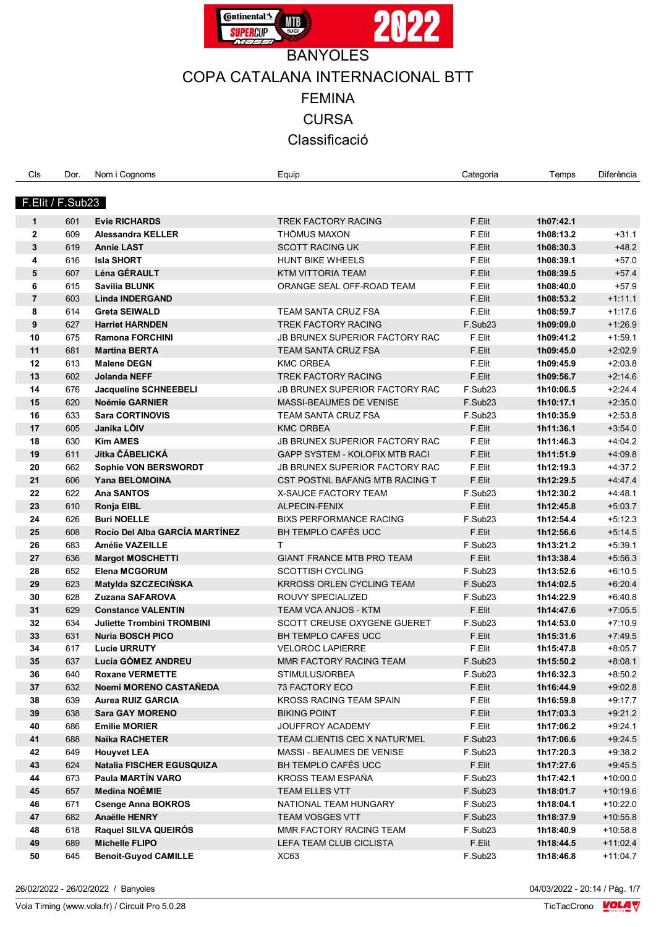

| F.Elit / F.Sub23<br>F.Elit<br>601<br><b>Evie RICHARDS</b><br><b>TREK FACTORY RACING</b><br>1h07:42.1<br>1<br>$\mathbf{2}$<br>609<br><b>THÖMUS MAXON</b><br>F.Elit<br>$+31.1$<br><b>Alessandra KELLER</b><br>1h08:13.2<br>3<br>F.Elit<br>$+48.2$<br>619<br><b>Annie LAST</b><br><b>SCOTT RACING UK</b><br>1h08:30.3<br>616<br>F.Elit<br>$+57.0$<br>4<br><b>Isla SHORT</b><br><b>HUNT BIKE WHEELS</b><br>1h08:39.1<br>Léna GÉRAULT<br>F.Elit<br>$+57.4$<br>5<br>607<br>KTM VITTORIA TEAM<br>1h08:39.5<br>6<br>615<br>F.Elit<br>$+57.9$<br>Savilia BLUNK<br>ORANGE SEAL OFF-ROAD TEAM<br>1h08:40.0<br>F.Elit<br>$\overline{7}$<br>603<br>$+1.11.1$<br><b>Linda INDERGAND</b><br>1h08:53.2<br>8<br>614<br>F.Elit<br>1h08:59.7<br>$+1:17.6$<br><b>Greta SEIWALD</b><br>TEAM SANTA CRUZ FSA<br>9<br>627<br>F.Sub23<br>$+1:26.9$<br><b>Harriet HARNDEN</b><br><b>TREK FACTORY RACING</b><br>1h09:09.0<br>10<br>675<br>F.Elit<br><b>Ramona FORCHINI</b><br><b>JB BRUNEX SUPERIOR FACTORY RAC</b><br>1h09:41.2<br>$+1:59.1$<br>681<br>F.Elit<br>$+2:02.9$<br>11<br><b>Martina BERTA</b><br>TEAM SANTA CRUZ FSA<br>1h09:45.0<br>613<br>F.Elit<br>$+2:03.8$<br>12<br><b>KMC ORBEA</b><br>1h09:45.9<br><b>Malene DEGN</b><br>13<br>602<br>F.Elit<br>$+2:14.6$<br>TREK FACTORY RACING<br>Jolanda NEFF<br>1h09:56.7<br>14<br>676<br>F.Sub23<br>$+2:24.4$<br><b>Jacqueline SCHNEEBELI</b><br><b>JB BRUNEX SUPERIOR FACTORY RAC</b><br>1h10:06.5<br>620<br>$+2.35.0$<br>15<br><b>Noémie GARNIER</b><br>MASSI-BEAUMES DE VENISE<br>F.Sub23<br>1h10:17.1<br>633<br><b>Sara CORTINOVIS</b><br>$+2:53.8$<br>16<br><b>TEAM SANTA CRUZ FSA</b><br>F.Sub23<br>1h10:35.9<br>F.Elit<br>$+3:54.0$<br>17<br>605<br>Janika LOIV<br><b>KMC ORBEA</b><br>1h11:36.1<br>630<br>F.Elit<br>$+4.04.2$<br>18<br><b>Kim AMES</b><br>JB BRUNEX SUPERIOR FACTORY RAC<br>1h11:46.3<br>Jitka ČÁBELICKÁ<br>611<br>F.Elit<br>$+4.09.8$<br>19<br>GAPP SYSTEM - KOLOFIX MTB RACI<br>1h11:51.9<br>662<br>Sophie VON BERSWORDT<br>F.Elit<br>$+4.37.2$<br>20<br><b>JB BRUNEX SUPERIOR FACTORY RAC</b><br>1h12:19.3<br>21<br>606<br>Yana BELOMOINA<br>F.Elit<br>$+4.47.4$<br>CST POSTNL BAFANG MTB RACING T<br>1h12:29.5<br>622<br><b>Ana SANTOS</b><br>F.Sub23<br>$+4.48.1$<br>22<br><b>X-SAUCE FACTORY TEAM</b><br>1h12:30.2<br>610<br>F.Elit<br>$+5:03.7$<br>23<br>ALPECIN-FENIX<br>1h12:45.8<br>Ronja EIBL<br>626<br><b>BIXS PERFORMANCE RACING</b><br>F.Sub23<br>$+5:12.3$<br>24<br><b>Buri NOELLE</b><br>1h12:54.4<br>608<br>Rocío Del Alba GARCÍA MARTÍNEZ<br>BH TEMPLO CAFÉS UCC<br>F.Elit<br>$+5:14.5$<br>25<br>1h12:56.6<br>683<br>F.Sub23<br>$+5:39.1$<br>26<br><b>Amélie VAZEILLE</b><br>т<br>1h13:21.2<br>27<br>636<br>F.Elit<br>$+5:56.3$<br><b>Margot MOSCHETTI</b><br><b>GIANT FRANCE MTB PRO TEAM</b><br>1h13:38.4<br>652<br>F.Sub23<br>28<br><b>Elena MCGORUM</b><br><b>SCOTTISH CYCLING</b><br>1h13:52.6<br>$+6.10.5$<br>623<br>29<br>Matylda SZCZECIŃSKA<br><b>KRROSS ORLEN CYCLING TEAM</b><br>F.Sub23<br>1h14:02.5<br>$+6:20.4$<br>628<br>30<br>Zuzana SAFAROVA<br>ROUVY SPECIALIZED<br>F.Sub <sub>23</sub><br>1h14:22.9<br>$+6.40.8$<br>629<br>F.Elit<br>31<br><b>Constance VALENTIN</b><br><b>TEAM VCA ANJOS - KTM</b><br>1h14:47.6<br>$+7:05.5$<br>634<br>F.Sub23<br>$+7:10.9$<br>32<br><b>Juliette Trombini TROMBINI</b><br>SCOTT CREUSE OXYGENE GUERET<br>1h14:53.0<br>631<br>F.Elit<br>33<br><b>Nuria BOSCH PICO</b><br>BH TEMPLO CAFES UCC<br>1h15:31.6<br>$+7.49.5$<br>34<br>617<br><b>VELOROC LAPIERRE</b><br>F.Elit<br><b>Lucie URRUTY</b><br>1h15:47.8<br>$+8.05.7$<br>Lucía GÓMEZ ANDREU<br>F.Sub23<br>637<br>MMR FACTORY RACING TEAM<br>$+8:08.1$<br>1h15:50.2<br>35<br>36<br>640<br><b>Roxane VERMETTE</b><br>F.Sub23<br>1h16:32.3<br>$+8.50.2$<br>STIMULUS/ORBEA<br>F.Elit<br>37<br>632<br>Noemi MORENO CASTAÑEDA<br>73 FACTORY ECO<br>1h16:44.9<br>$+9.02.8$<br>F.Elit<br>38<br>639<br><b>Aurea RUIZ GARCIA</b><br><b>KROSS RACING TEAM SPAIN</b><br>1h16:59.8<br>$+9:17.7$<br>F.Elit<br>39<br>638<br><b>Sara GAY MORENO</b><br><b>BIKING POINT</b><br>$+9.21.2$<br>1h17:03.3<br>686<br>F.Elit<br>40<br><b>Emilie MORIER</b><br>JOUFFROY ACADEMY<br>1h17:06.2<br>$+9.24.1$<br>41<br>688<br>Naïka RACHETER<br>TEAM CLIENTIS CEC X NATUR'MEL<br>F.Sub23<br>$+9.24.5$<br>1h17:06.6<br>42<br>649<br><b>Houyvet LEA</b><br>MASSI - BEAUMES DE VENISE<br>F.Sub23<br>1h17:20.3<br>$+9:38.2$<br>BH TEMPLO CAFÉS UCC<br>43<br>624<br><b>Natalia FISCHER EGUSQUIZA</b><br>F.Elit<br>$+9.45.5$<br>1h17:27.6<br>Paula MARTÍN VARO<br>KROSS TEAM ESPAÑA<br>44<br>673<br>F.Sub23<br>$+10:00.0$<br>1h17:42.1<br>45<br>657<br><b>Medina NOÉMIE</b><br>TEAM ELLES VTT<br>F.Sub23<br>1h18:01.7<br>$+10:19.6$<br>46<br>671<br><b>Csenge Anna BOKROS</b><br>NATIONAL TEAM HUNGARY<br>F.Sub23<br>1h18:04.1<br>$+10:22.0$<br>47<br>682<br><b>Anaëlle HENRY</b><br>TEAM VOSGES VTT<br>F.Sub23<br>1h18:37.9<br>$+10:55.8$<br>Raquel SILVA QUEIRÓS<br>48<br>618<br>MMR FACTORY RACING TEAM<br>F.Sub23<br>1h18:40.9<br>$+10:58.8$<br>49<br>689<br><b>Michelle FLIPO</b><br>LEFA TEAM CLUB CICLISTA<br>F.Elit<br>1h18:44.5<br>$+11:02.4$<br>645<br>50<br><b>Benoit-Guyod CAMILLE</b><br>XC63<br>F.Sub23<br>1h18:46.8<br>$+11:04.7$ | Cls | Dor. | Nom i Cognoms | Equip | Categoria | Temps | Diferència |
|----------------------------------------------------------------------------------------------------------------------------------------------------------------------------------------------------------------------------------------------------------------------------------------------------------------------------------------------------------------------------------------------------------------------------------------------------------------------------------------------------------------------------------------------------------------------------------------------------------------------------------------------------------------------------------------------------------------------------------------------------------------------------------------------------------------------------------------------------------------------------------------------------------------------------------------------------------------------------------------------------------------------------------------------------------------------------------------------------------------------------------------------------------------------------------------------------------------------------------------------------------------------------------------------------------------------------------------------------------------------------------------------------------------------------------------------------------------------------------------------------------------------------------------------------------------------------------------------------------------------------------------------------------------------------------------------------------------------------------------------------------------------------------------------------------------------------------------------------------------------------------------------------------------------------------------------------------------------------------------------------------------------------------------------------------------------------------------------------------------------------------------------------------------------------------------------------------------------------------------------------------------------------------------------------------------------------------------------------------------------------------------------------------------------------------------------------------------------------------------------------------------------------------------------------------------------------------------------------------------------------------------------------------------------------------------------------------------------------------------------------------------------------------------------------------------------------------------------------------------------------------------------------------------------------------------------------------------------------------------------------------------------------------------------------------------------------------------------------------------------------------------------------------------------------------------------------------------------------------------------------------------------------------------------------------------------------------------------------------------------------------------------------------------------------------------------------------------------------------------------------------------------------------------------------------------------------------------------------------------------------------------------------------------------------------------------------------------------------------------------------------------------------------------------------------------------------------------------------------------------------------------------------------------------------------------------------------------------------------------------------------------------------------------------------------------------------------------------------------------------------------------------------------------------------------------------------------------------------------------------------------------------------------------------------------------------------------------------------------------------------------------------------------------------------------------------------------------------------------------------------------------------------------------------------------------------------------------------------------------------------------------------------------------------------------------------------------------------------------------------------------------------------------------------------------------------------------------------------------------------------------------------------------------------------------------------------------------------------------------------------------------------------------------------------------------------------------------------------------------------------------------------------------------------------------------------|-----|------|---------------|-------|-----------|-------|------------|
|                                                                                                                                                                                                                                                                                                                                                                                                                                                                                                                                                                                                                                                                                                                                                                                                                                                                                                                                                                                                                                                                                                                                                                                                                                                                                                                                                                                                                                                                                                                                                                                                                                                                                                                                                                                                                                                                                                                                                                                                                                                                                                                                                                                                                                                                                                                                                                                                                                                                                                                                                                                                                                                                                                                                                                                                                                                                                                                                                                                                                                                                                                                                                                                                                                                                                                                                                                                                                                                                                                                                                                                                                                                                                                                                                                                                                                                                                                                                                                                                                                                                                                                                                                                                                                                                                                                                                                                                                                                                                                                                                                                                                                                                                                                                                                                                                                                                                                                                                                                                                                                                                                                                                                                              |     |      |               |       |           |       |            |
|                                                                                                                                                                                                                                                                                                                                                                                                                                                                                                                                                                                                                                                                                                                                                                                                                                                                                                                                                                                                                                                                                                                                                                                                                                                                                                                                                                                                                                                                                                                                                                                                                                                                                                                                                                                                                                                                                                                                                                                                                                                                                                                                                                                                                                                                                                                                                                                                                                                                                                                                                                                                                                                                                                                                                                                                                                                                                                                                                                                                                                                                                                                                                                                                                                                                                                                                                                                                                                                                                                                                                                                                                                                                                                                                                                                                                                                                                                                                                                                                                                                                                                                                                                                                                                                                                                                                                                                                                                                                                                                                                                                                                                                                                                                                                                                                                                                                                                                                                                                                                                                                                                                                                                                              |     |      |               |       |           |       |            |
|                                                                                                                                                                                                                                                                                                                                                                                                                                                                                                                                                                                                                                                                                                                                                                                                                                                                                                                                                                                                                                                                                                                                                                                                                                                                                                                                                                                                                                                                                                                                                                                                                                                                                                                                                                                                                                                                                                                                                                                                                                                                                                                                                                                                                                                                                                                                                                                                                                                                                                                                                                                                                                                                                                                                                                                                                                                                                                                                                                                                                                                                                                                                                                                                                                                                                                                                                                                                                                                                                                                                                                                                                                                                                                                                                                                                                                                                                                                                                                                                                                                                                                                                                                                                                                                                                                                                                                                                                                                                                                                                                                                                                                                                                                                                                                                                                                                                                                                                                                                                                                                                                                                                                                                              |     |      |               |       |           |       |            |
|                                                                                                                                                                                                                                                                                                                                                                                                                                                                                                                                                                                                                                                                                                                                                                                                                                                                                                                                                                                                                                                                                                                                                                                                                                                                                                                                                                                                                                                                                                                                                                                                                                                                                                                                                                                                                                                                                                                                                                                                                                                                                                                                                                                                                                                                                                                                                                                                                                                                                                                                                                                                                                                                                                                                                                                                                                                                                                                                                                                                                                                                                                                                                                                                                                                                                                                                                                                                                                                                                                                                                                                                                                                                                                                                                                                                                                                                                                                                                                                                                                                                                                                                                                                                                                                                                                                                                                                                                                                                                                                                                                                                                                                                                                                                                                                                                                                                                                                                                                                                                                                                                                                                                                                              |     |      |               |       |           |       |            |
|                                                                                                                                                                                                                                                                                                                                                                                                                                                                                                                                                                                                                                                                                                                                                                                                                                                                                                                                                                                                                                                                                                                                                                                                                                                                                                                                                                                                                                                                                                                                                                                                                                                                                                                                                                                                                                                                                                                                                                                                                                                                                                                                                                                                                                                                                                                                                                                                                                                                                                                                                                                                                                                                                                                                                                                                                                                                                                                                                                                                                                                                                                                                                                                                                                                                                                                                                                                                                                                                                                                                                                                                                                                                                                                                                                                                                                                                                                                                                                                                                                                                                                                                                                                                                                                                                                                                                                                                                                                                                                                                                                                                                                                                                                                                                                                                                                                                                                                                                                                                                                                                                                                                                                                              |     |      |               |       |           |       |            |
|                                                                                                                                                                                                                                                                                                                                                                                                                                                                                                                                                                                                                                                                                                                                                                                                                                                                                                                                                                                                                                                                                                                                                                                                                                                                                                                                                                                                                                                                                                                                                                                                                                                                                                                                                                                                                                                                                                                                                                                                                                                                                                                                                                                                                                                                                                                                                                                                                                                                                                                                                                                                                                                                                                                                                                                                                                                                                                                                                                                                                                                                                                                                                                                                                                                                                                                                                                                                                                                                                                                                                                                                                                                                                                                                                                                                                                                                                                                                                                                                                                                                                                                                                                                                                                                                                                                                                                                                                                                                                                                                                                                                                                                                                                                                                                                                                                                                                                                                                                                                                                                                                                                                                                                              |     |      |               |       |           |       |            |
|                                                                                                                                                                                                                                                                                                                                                                                                                                                                                                                                                                                                                                                                                                                                                                                                                                                                                                                                                                                                                                                                                                                                                                                                                                                                                                                                                                                                                                                                                                                                                                                                                                                                                                                                                                                                                                                                                                                                                                                                                                                                                                                                                                                                                                                                                                                                                                                                                                                                                                                                                                                                                                                                                                                                                                                                                                                                                                                                                                                                                                                                                                                                                                                                                                                                                                                                                                                                                                                                                                                                                                                                                                                                                                                                                                                                                                                                                                                                                                                                                                                                                                                                                                                                                                                                                                                                                                                                                                                                                                                                                                                                                                                                                                                                                                                                                                                                                                                                                                                                                                                                                                                                                                                              |     |      |               |       |           |       |            |
|                                                                                                                                                                                                                                                                                                                                                                                                                                                                                                                                                                                                                                                                                                                                                                                                                                                                                                                                                                                                                                                                                                                                                                                                                                                                                                                                                                                                                                                                                                                                                                                                                                                                                                                                                                                                                                                                                                                                                                                                                                                                                                                                                                                                                                                                                                                                                                                                                                                                                                                                                                                                                                                                                                                                                                                                                                                                                                                                                                                                                                                                                                                                                                                                                                                                                                                                                                                                                                                                                                                                                                                                                                                                                                                                                                                                                                                                                                                                                                                                                                                                                                                                                                                                                                                                                                                                                                                                                                                                                                                                                                                                                                                                                                                                                                                                                                                                                                                                                                                                                                                                                                                                                                                              |     |      |               |       |           |       |            |
|                                                                                                                                                                                                                                                                                                                                                                                                                                                                                                                                                                                                                                                                                                                                                                                                                                                                                                                                                                                                                                                                                                                                                                                                                                                                                                                                                                                                                                                                                                                                                                                                                                                                                                                                                                                                                                                                                                                                                                                                                                                                                                                                                                                                                                                                                                                                                                                                                                                                                                                                                                                                                                                                                                                                                                                                                                                                                                                                                                                                                                                                                                                                                                                                                                                                                                                                                                                                                                                                                                                                                                                                                                                                                                                                                                                                                                                                                                                                                                                                                                                                                                                                                                                                                                                                                                                                                                                                                                                                                                                                                                                                                                                                                                                                                                                                                                                                                                                                                                                                                                                                                                                                                                                              |     |      |               |       |           |       |            |
|                                                                                                                                                                                                                                                                                                                                                                                                                                                                                                                                                                                                                                                                                                                                                                                                                                                                                                                                                                                                                                                                                                                                                                                                                                                                                                                                                                                                                                                                                                                                                                                                                                                                                                                                                                                                                                                                                                                                                                                                                                                                                                                                                                                                                                                                                                                                                                                                                                                                                                                                                                                                                                                                                                                                                                                                                                                                                                                                                                                                                                                                                                                                                                                                                                                                                                                                                                                                                                                                                                                                                                                                                                                                                                                                                                                                                                                                                                                                                                                                                                                                                                                                                                                                                                                                                                                                                                                                                                                                                                                                                                                                                                                                                                                                                                                                                                                                                                                                                                                                                                                                                                                                                                                              |     |      |               |       |           |       |            |
|                                                                                                                                                                                                                                                                                                                                                                                                                                                                                                                                                                                                                                                                                                                                                                                                                                                                                                                                                                                                                                                                                                                                                                                                                                                                                                                                                                                                                                                                                                                                                                                                                                                                                                                                                                                                                                                                                                                                                                                                                                                                                                                                                                                                                                                                                                                                                                                                                                                                                                                                                                                                                                                                                                                                                                                                                                                                                                                                                                                                                                                                                                                                                                                                                                                                                                                                                                                                                                                                                                                                                                                                                                                                                                                                                                                                                                                                                                                                                                                                                                                                                                                                                                                                                                                                                                                                                                                                                                                                                                                                                                                                                                                                                                                                                                                                                                                                                                                                                                                                                                                                                                                                                                                              |     |      |               |       |           |       |            |
|                                                                                                                                                                                                                                                                                                                                                                                                                                                                                                                                                                                                                                                                                                                                                                                                                                                                                                                                                                                                                                                                                                                                                                                                                                                                                                                                                                                                                                                                                                                                                                                                                                                                                                                                                                                                                                                                                                                                                                                                                                                                                                                                                                                                                                                                                                                                                                                                                                                                                                                                                                                                                                                                                                                                                                                                                                                                                                                                                                                                                                                                                                                                                                                                                                                                                                                                                                                                                                                                                                                                                                                                                                                                                                                                                                                                                                                                                                                                                                                                                                                                                                                                                                                                                                                                                                                                                                                                                                                                                                                                                                                                                                                                                                                                                                                                                                                                                                                                                                                                                                                                                                                                                                                              |     |      |               |       |           |       |            |
|                                                                                                                                                                                                                                                                                                                                                                                                                                                                                                                                                                                                                                                                                                                                                                                                                                                                                                                                                                                                                                                                                                                                                                                                                                                                                                                                                                                                                                                                                                                                                                                                                                                                                                                                                                                                                                                                                                                                                                                                                                                                                                                                                                                                                                                                                                                                                                                                                                                                                                                                                                                                                                                                                                                                                                                                                                                                                                                                                                                                                                                                                                                                                                                                                                                                                                                                                                                                                                                                                                                                                                                                                                                                                                                                                                                                                                                                                                                                                                                                                                                                                                                                                                                                                                                                                                                                                                                                                                                                                                                                                                                                                                                                                                                                                                                                                                                                                                                                                                                                                                                                                                                                                                                              |     |      |               |       |           |       |            |
|                                                                                                                                                                                                                                                                                                                                                                                                                                                                                                                                                                                                                                                                                                                                                                                                                                                                                                                                                                                                                                                                                                                                                                                                                                                                                                                                                                                                                                                                                                                                                                                                                                                                                                                                                                                                                                                                                                                                                                                                                                                                                                                                                                                                                                                                                                                                                                                                                                                                                                                                                                                                                                                                                                                                                                                                                                                                                                                                                                                                                                                                                                                                                                                                                                                                                                                                                                                                                                                                                                                                                                                                                                                                                                                                                                                                                                                                                                                                                                                                                                                                                                                                                                                                                                                                                                                                                                                                                                                                                                                                                                                                                                                                                                                                                                                                                                                                                                                                                                                                                                                                                                                                                                                              |     |      |               |       |           |       |            |
|                                                                                                                                                                                                                                                                                                                                                                                                                                                                                                                                                                                                                                                                                                                                                                                                                                                                                                                                                                                                                                                                                                                                                                                                                                                                                                                                                                                                                                                                                                                                                                                                                                                                                                                                                                                                                                                                                                                                                                                                                                                                                                                                                                                                                                                                                                                                                                                                                                                                                                                                                                                                                                                                                                                                                                                                                                                                                                                                                                                                                                                                                                                                                                                                                                                                                                                                                                                                                                                                                                                                                                                                                                                                                                                                                                                                                                                                                                                                                                                                                                                                                                                                                                                                                                                                                                                                                                                                                                                                                                                                                                                                                                                                                                                                                                                                                                                                                                                                                                                                                                                                                                                                                                                              |     |      |               |       |           |       |            |
|                                                                                                                                                                                                                                                                                                                                                                                                                                                                                                                                                                                                                                                                                                                                                                                                                                                                                                                                                                                                                                                                                                                                                                                                                                                                                                                                                                                                                                                                                                                                                                                                                                                                                                                                                                                                                                                                                                                                                                                                                                                                                                                                                                                                                                                                                                                                                                                                                                                                                                                                                                                                                                                                                                                                                                                                                                                                                                                                                                                                                                                                                                                                                                                                                                                                                                                                                                                                                                                                                                                                                                                                                                                                                                                                                                                                                                                                                                                                                                                                                                                                                                                                                                                                                                                                                                                                                                                                                                                                                                                                                                                                                                                                                                                                                                                                                                                                                                                                                                                                                                                                                                                                                                                              |     |      |               |       |           |       |            |
|                                                                                                                                                                                                                                                                                                                                                                                                                                                                                                                                                                                                                                                                                                                                                                                                                                                                                                                                                                                                                                                                                                                                                                                                                                                                                                                                                                                                                                                                                                                                                                                                                                                                                                                                                                                                                                                                                                                                                                                                                                                                                                                                                                                                                                                                                                                                                                                                                                                                                                                                                                                                                                                                                                                                                                                                                                                                                                                                                                                                                                                                                                                                                                                                                                                                                                                                                                                                                                                                                                                                                                                                                                                                                                                                                                                                                                                                                                                                                                                                                                                                                                                                                                                                                                                                                                                                                                                                                                                                                                                                                                                                                                                                                                                                                                                                                                                                                                                                                                                                                                                                                                                                                                                              |     |      |               |       |           |       |            |
|                                                                                                                                                                                                                                                                                                                                                                                                                                                                                                                                                                                                                                                                                                                                                                                                                                                                                                                                                                                                                                                                                                                                                                                                                                                                                                                                                                                                                                                                                                                                                                                                                                                                                                                                                                                                                                                                                                                                                                                                                                                                                                                                                                                                                                                                                                                                                                                                                                                                                                                                                                                                                                                                                                                                                                                                                                                                                                                                                                                                                                                                                                                                                                                                                                                                                                                                                                                                                                                                                                                                                                                                                                                                                                                                                                                                                                                                                                                                                                                                                                                                                                                                                                                                                                                                                                                                                                                                                                                                                                                                                                                                                                                                                                                                                                                                                                                                                                                                                                                                                                                                                                                                                                                              |     |      |               |       |           |       |            |
|                                                                                                                                                                                                                                                                                                                                                                                                                                                                                                                                                                                                                                                                                                                                                                                                                                                                                                                                                                                                                                                                                                                                                                                                                                                                                                                                                                                                                                                                                                                                                                                                                                                                                                                                                                                                                                                                                                                                                                                                                                                                                                                                                                                                                                                                                                                                                                                                                                                                                                                                                                                                                                                                                                                                                                                                                                                                                                                                                                                                                                                                                                                                                                                                                                                                                                                                                                                                                                                                                                                                                                                                                                                                                                                                                                                                                                                                                                                                                                                                                                                                                                                                                                                                                                                                                                                                                                                                                                                                                                                                                                                                                                                                                                                                                                                                                                                                                                                                                                                                                                                                                                                                                                                              |     |      |               |       |           |       |            |
|                                                                                                                                                                                                                                                                                                                                                                                                                                                                                                                                                                                                                                                                                                                                                                                                                                                                                                                                                                                                                                                                                                                                                                                                                                                                                                                                                                                                                                                                                                                                                                                                                                                                                                                                                                                                                                                                                                                                                                                                                                                                                                                                                                                                                                                                                                                                                                                                                                                                                                                                                                                                                                                                                                                                                                                                                                                                                                                                                                                                                                                                                                                                                                                                                                                                                                                                                                                                                                                                                                                                                                                                                                                                                                                                                                                                                                                                                                                                                                                                                                                                                                                                                                                                                                                                                                                                                                                                                                                                                                                                                                                                                                                                                                                                                                                                                                                                                                                                                                                                                                                                                                                                                                                              |     |      |               |       |           |       |            |
|                                                                                                                                                                                                                                                                                                                                                                                                                                                                                                                                                                                                                                                                                                                                                                                                                                                                                                                                                                                                                                                                                                                                                                                                                                                                                                                                                                                                                                                                                                                                                                                                                                                                                                                                                                                                                                                                                                                                                                                                                                                                                                                                                                                                                                                                                                                                                                                                                                                                                                                                                                                                                                                                                                                                                                                                                                                                                                                                                                                                                                                                                                                                                                                                                                                                                                                                                                                                                                                                                                                                                                                                                                                                                                                                                                                                                                                                                                                                                                                                                                                                                                                                                                                                                                                                                                                                                                                                                                                                                                                                                                                                                                                                                                                                                                                                                                                                                                                                                                                                                                                                                                                                                                                              |     |      |               |       |           |       |            |
|                                                                                                                                                                                                                                                                                                                                                                                                                                                                                                                                                                                                                                                                                                                                                                                                                                                                                                                                                                                                                                                                                                                                                                                                                                                                                                                                                                                                                                                                                                                                                                                                                                                                                                                                                                                                                                                                                                                                                                                                                                                                                                                                                                                                                                                                                                                                                                                                                                                                                                                                                                                                                                                                                                                                                                                                                                                                                                                                                                                                                                                                                                                                                                                                                                                                                                                                                                                                                                                                                                                                                                                                                                                                                                                                                                                                                                                                                                                                                                                                                                                                                                                                                                                                                                                                                                                                                                                                                                                                                                                                                                                                                                                                                                                                                                                                                                                                                                                                                                                                                                                                                                                                                                                              |     |      |               |       |           |       |            |
|                                                                                                                                                                                                                                                                                                                                                                                                                                                                                                                                                                                                                                                                                                                                                                                                                                                                                                                                                                                                                                                                                                                                                                                                                                                                                                                                                                                                                                                                                                                                                                                                                                                                                                                                                                                                                                                                                                                                                                                                                                                                                                                                                                                                                                                                                                                                                                                                                                                                                                                                                                                                                                                                                                                                                                                                                                                                                                                                                                                                                                                                                                                                                                                                                                                                                                                                                                                                                                                                                                                                                                                                                                                                                                                                                                                                                                                                                                                                                                                                                                                                                                                                                                                                                                                                                                                                                                                                                                                                                                                                                                                                                                                                                                                                                                                                                                                                                                                                                                                                                                                                                                                                                                                              |     |      |               |       |           |       |            |
|                                                                                                                                                                                                                                                                                                                                                                                                                                                                                                                                                                                                                                                                                                                                                                                                                                                                                                                                                                                                                                                                                                                                                                                                                                                                                                                                                                                                                                                                                                                                                                                                                                                                                                                                                                                                                                                                                                                                                                                                                                                                                                                                                                                                                                                                                                                                                                                                                                                                                                                                                                                                                                                                                                                                                                                                                                                                                                                                                                                                                                                                                                                                                                                                                                                                                                                                                                                                                                                                                                                                                                                                                                                                                                                                                                                                                                                                                                                                                                                                                                                                                                                                                                                                                                                                                                                                                                                                                                                                                                                                                                                                                                                                                                                                                                                                                                                                                                                                                                                                                                                                                                                                                                                              |     |      |               |       |           |       |            |
|                                                                                                                                                                                                                                                                                                                                                                                                                                                                                                                                                                                                                                                                                                                                                                                                                                                                                                                                                                                                                                                                                                                                                                                                                                                                                                                                                                                                                                                                                                                                                                                                                                                                                                                                                                                                                                                                                                                                                                                                                                                                                                                                                                                                                                                                                                                                                                                                                                                                                                                                                                                                                                                                                                                                                                                                                                                                                                                                                                                                                                                                                                                                                                                                                                                                                                                                                                                                                                                                                                                                                                                                                                                                                                                                                                                                                                                                                                                                                                                                                                                                                                                                                                                                                                                                                                                                                                                                                                                                                                                                                                                                                                                                                                                                                                                                                                                                                                                                                                                                                                                                                                                                                                                              |     |      |               |       |           |       |            |
|                                                                                                                                                                                                                                                                                                                                                                                                                                                                                                                                                                                                                                                                                                                                                                                                                                                                                                                                                                                                                                                                                                                                                                                                                                                                                                                                                                                                                                                                                                                                                                                                                                                                                                                                                                                                                                                                                                                                                                                                                                                                                                                                                                                                                                                                                                                                                                                                                                                                                                                                                                                                                                                                                                                                                                                                                                                                                                                                                                                                                                                                                                                                                                                                                                                                                                                                                                                                                                                                                                                                                                                                                                                                                                                                                                                                                                                                                                                                                                                                                                                                                                                                                                                                                                                                                                                                                                                                                                                                                                                                                                                                                                                                                                                                                                                                                                                                                                                                                                                                                                                                                                                                                                                              |     |      |               |       |           |       |            |
|                                                                                                                                                                                                                                                                                                                                                                                                                                                                                                                                                                                                                                                                                                                                                                                                                                                                                                                                                                                                                                                                                                                                                                                                                                                                                                                                                                                                                                                                                                                                                                                                                                                                                                                                                                                                                                                                                                                                                                                                                                                                                                                                                                                                                                                                                                                                                                                                                                                                                                                                                                                                                                                                                                                                                                                                                                                                                                                                                                                                                                                                                                                                                                                                                                                                                                                                                                                                                                                                                                                                                                                                                                                                                                                                                                                                                                                                                                                                                                                                                                                                                                                                                                                                                                                                                                                                                                                                                                                                                                                                                                                                                                                                                                                                                                                                                                                                                                                                                                                                                                                                                                                                                                                              |     |      |               |       |           |       |            |
|                                                                                                                                                                                                                                                                                                                                                                                                                                                                                                                                                                                                                                                                                                                                                                                                                                                                                                                                                                                                                                                                                                                                                                                                                                                                                                                                                                                                                                                                                                                                                                                                                                                                                                                                                                                                                                                                                                                                                                                                                                                                                                                                                                                                                                                                                                                                                                                                                                                                                                                                                                                                                                                                                                                                                                                                                                                                                                                                                                                                                                                                                                                                                                                                                                                                                                                                                                                                                                                                                                                                                                                                                                                                                                                                                                                                                                                                                                                                                                                                                                                                                                                                                                                                                                                                                                                                                                                                                                                                                                                                                                                                                                                                                                                                                                                                                                                                                                                                                                                                                                                                                                                                                                                              |     |      |               |       |           |       |            |
|                                                                                                                                                                                                                                                                                                                                                                                                                                                                                                                                                                                                                                                                                                                                                                                                                                                                                                                                                                                                                                                                                                                                                                                                                                                                                                                                                                                                                                                                                                                                                                                                                                                                                                                                                                                                                                                                                                                                                                                                                                                                                                                                                                                                                                                                                                                                                                                                                                                                                                                                                                                                                                                                                                                                                                                                                                                                                                                                                                                                                                                                                                                                                                                                                                                                                                                                                                                                                                                                                                                                                                                                                                                                                                                                                                                                                                                                                                                                                                                                                                                                                                                                                                                                                                                                                                                                                                                                                                                                                                                                                                                                                                                                                                                                                                                                                                                                                                                                                                                                                                                                                                                                                                                              |     |      |               |       |           |       |            |
|                                                                                                                                                                                                                                                                                                                                                                                                                                                                                                                                                                                                                                                                                                                                                                                                                                                                                                                                                                                                                                                                                                                                                                                                                                                                                                                                                                                                                                                                                                                                                                                                                                                                                                                                                                                                                                                                                                                                                                                                                                                                                                                                                                                                                                                                                                                                                                                                                                                                                                                                                                                                                                                                                                                                                                                                                                                                                                                                                                                                                                                                                                                                                                                                                                                                                                                                                                                                                                                                                                                                                                                                                                                                                                                                                                                                                                                                                                                                                                                                                                                                                                                                                                                                                                                                                                                                                                                                                                                                                                                                                                                                                                                                                                                                                                                                                                                                                                                                                                                                                                                                                                                                                                                              |     |      |               |       |           |       |            |
|                                                                                                                                                                                                                                                                                                                                                                                                                                                                                                                                                                                                                                                                                                                                                                                                                                                                                                                                                                                                                                                                                                                                                                                                                                                                                                                                                                                                                                                                                                                                                                                                                                                                                                                                                                                                                                                                                                                                                                                                                                                                                                                                                                                                                                                                                                                                                                                                                                                                                                                                                                                                                                                                                                                                                                                                                                                                                                                                                                                                                                                                                                                                                                                                                                                                                                                                                                                                                                                                                                                                                                                                                                                                                                                                                                                                                                                                                                                                                                                                                                                                                                                                                                                                                                                                                                                                                                                                                                                                                                                                                                                                                                                                                                                                                                                                                                                                                                                                                                                                                                                                                                                                                                                              |     |      |               |       |           |       |            |
|                                                                                                                                                                                                                                                                                                                                                                                                                                                                                                                                                                                                                                                                                                                                                                                                                                                                                                                                                                                                                                                                                                                                                                                                                                                                                                                                                                                                                                                                                                                                                                                                                                                                                                                                                                                                                                                                                                                                                                                                                                                                                                                                                                                                                                                                                                                                                                                                                                                                                                                                                                                                                                                                                                                                                                                                                                                                                                                                                                                                                                                                                                                                                                                                                                                                                                                                                                                                                                                                                                                                                                                                                                                                                                                                                                                                                                                                                                                                                                                                                                                                                                                                                                                                                                                                                                                                                                                                                                                                                                                                                                                                                                                                                                                                                                                                                                                                                                                                                                                                                                                                                                                                                                                              |     |      |               |       |           |       |            |
|                                                                                                                                                                                                                                                                                                                                                                                                                                                                                                                                                                                                                                                                                                                                                                                                                                                                                                                                                                                                                                                                                                                                                                                                                                                                                                                                                                                                                                                                                                                                                                                                                                                                                                                                                                                                                                                                                                                                                                                                                                                                                                                                                                                                                                                                                                                                                                                                                                                                                                                                                                                                                                                                                                                                                                                                                                                                                                                                                                                                                                                                                                                                                                                                                                                                                                                                                                                                                                                                                                                                                                                                                                                                                                                                                                                                                                                                                                                                                                                                                                                                                                                                                                                                                                                                                                                                                                                                                                                                                                                                                                                                                                                                                                                                                                                                                                                                                                                                                                                                                                                                                                                                                                                              |     |      |               |       |           |       |            |
|                                                                                                                                                                                                                                                                                                                                                                                                                                                                                                                                                                                                                                                                                                                                                                                                                                                                                                                                                                                                                                                                                                                                                                                                                                                                                                                                                                                                                                                                                                                                                                                                                                                                                                                                                                                                                                                                                                                                                                                                                                                                                                                                                                                                                                                                                                                                                                                                                                                                                                                                                                                                                                                                                                                                                                                                                                                                                                                                                                                                                                                                                                                                                                                                                                                                                                                                                                                                                                                                                                                                                                                                                                                                                                                                                                                                                                                                                                                                                                                                                                                                                                                                                                                                                                                                                                                                                                                                                                                                                                                                                                                                                                                                                                                                                                                                                                                                                                                                                                                                                                                                                                                                                                                              |     |      |               |       |           |       |            |
|                                                                                                                                                                                                                                                                                                                                                                                                                                                                                                                                                                                                                                                                                                                                                                                                                                                                                                                                                                                                                                                                                                                                                                                                                                                                                                                                                                                                                                                                                                                                                                                                                                                                                                                                                                                                                                                                                                                                                                                                                                                                                                                                                                                                                                                                                                                                                                                                                                                                                                                                                                                                                                                                                                                                                                                                                                                                                                                                                                                                                                                                                                                                                                                                                                                                                                                                                                                                                                                                                                                                                                                                                                                                                                                                                                                                                                                                                                                                                                                                                                                                                                                                                                                                                                                                                                                                                                                                                                                                                                                                                                                                                                                                                                                                                                                                                                                                                                                                                                                                                                                                                                                                                                                              |     |      |               |       |           |       |            |
|                                                                                                                                                                                                                                                                                                                                                                                                                                                                                                                                                                                                                                                                                                                                                                                                                                                                                                                                                                                                                                                                                                                                                                                                                                                                                                                                                                                                                                                                                                                                                                                                                                                                                                                                                                                                                                                                                                                                                                                                                                                                                                                                                                                                                                                                                                                                                                                                                                                                                                                                                                                                                                                                                                                                                                                                                                                                                                                                                                                                                                                                                                                                                                                                                                                                                                                                                                                                                                                                                                                                                                                                                                                                                                                                                                                                                                                                                                                                                                                                                                                                                                                                                                                                                                                                                                                                                                                                                                                                                                                                                                                                                                                                                                                                                                                                                                                                                                                                                                                                                                                                                                                                                                                              |     |      |               |       |           |       |            |
|                                                                                                                                                                                                                                                                                                                                                                                                                                                                                                                                                                                                                                                                                                                                                                                                                                                                                                                                                                                                                                                                                                                                                                                                                                                                                                                                                                                                                                                                                                                                                                                                                                                                                                                                                                                                                                                                                                                                                                                                                                                                                                                                                                                                                                                                                                                                                                                                                                                                                                                                                                                                                                                                                                                                                                                                                                                                                                                                                                                                                                                                                                                                                                                                                                                                                                                                                                                                                                                                                                                                                                                                                                                                                                                                                                                                                                                                                                                                                                                                                                                                                                                                                                                                                                                                                                                                                                                                                                                                                                                                                                                                                                                                                                                                                                                                                                                                                                                                                                                                                                                                                                                                                                                              |     |      |               |       |           |       |            |
|                                                                                                                                                                                                                                                                                                                                                                                                                                                                                                                                                                                                                                                                                                                                                                                                                                                                                                                                                                                                                                                                                                                                                                                                                                                                                                                                                                                                                                                                                                                                                                                                                                                                                                                                                                                                                                                                                                                                                                                                                                                                                                                                                                                                                                                                                                                                                                                                                                                                                                                                                                                                                                                                                                                                                                                                                                                                                                                                                                                                                                                                                                                                                                                                                                                                                                                                                                                                                                                                                                                                                                                                                                                                                                                                                                                                                                                                                                                                                                                                                                                                                                                                                                                                                                                                                                                                                                                                                                                                                                                                                                                                                                                                                                                                                                                                                                                                                                                                                                                                                                                                                                                                                                                              |     |      |               |       |           |       |            |
|                                                                                                                                                                                                                                                                                                                                                                                                                                                                                                                                                                                                                                                                                                                                                                                                                                                                                                                                                                                                                                                                                                                                                                                                                                                                                                                                                                                                                                                                                                                                                                                                                                                                                                                                                                                                                                                                                                                                                                                                                                                                                                                                                                                                                                                                                                                                                                                                                                                                                                                                                                                                                                                                                                                                                                                                                                                                                                                                                                                                                                                                                                                                                                                                                                                                                                                                                                                                                                                                                                                                                                                                                                                                                                                                                                                                                                                                                                                                                                                                                                                                                                                                                                                                                                                                                                                                                                                                                                                                                                                                                                                                                                                                                                                                                                                                                                                                                                                                                                                                                                                                                                                                                                                              |     |      |               |       |           |       |            |
|                                                                                                                                                                                                                                                                                                                                                                                                                                                                                                                                                                                                                                                                                                                                                                                                                                                                                                                                                                                                                                                                                                                                                                                                                                                                                                                                                                                                                                                                                                                                                                                                                                                                                                                                                                                                                                                                                                                                                                                                                                                                                                                                                                                                                                                                                                                                                                                                                                                                                                                                                                                                                                                                                                                                                                                                                                                                                                                                                                                                                                                                                                                                                                                                                                                                                                                                                                                                                                                                                                                                                                                                                                                                                                                                                                                                                                                                                                                                                                                                                                                                                                                                                                                                                                                                                                                                                                                                                                                                                                                                                                                                                                                                                                                                                                                                                                                                                                                                                                                                                                                                                                                                                                                              |     |      |               |       |           |       |            |
|                                                                                                                                                                                                                                                                                                                                                                                                                                                                                                                                                                                                                                                                                                                                                                                                                                                                                                                                                                                                                                                                                                                                                                                                                                                                                                                                                                                                                                                                                                                                                                                                                                                                                                                                                                                                                                                                                                                                                                                                                                                                                                                                                                                                                                                                                                                                                                                                                                                                                                                                                                                                                                                                                                                                                                                                                                                                                                                                                                                                                                                                                                                                                                                                                                                                                                                                                                                                                                                                                                                                                                                                                                                                                                                                                                                                                                                                                                                                                                                                                                                                                                                                                                                                                                                                                                                                                                                                                                                                                                                                                                                                                                                                                                                                                                                                                                                                                                                                                                                                                                                                                                                                                                                              |     |      |               |       |           |       |            |
|                                                                                                                                                                                                                                                                                                                                                                                                                                                                                                                                                                                                                                                                                                                                                                                                                                                                                                                                                                                                                                                                                                                                                                                                                                                                                                                                                                                                                                                                                                                                                                                                                                                                                                                                                                                                                                                                                                                                                                                                                                                                                                                                                                                                                                                                                                                                                                                                                                                                                                                                                                                                                                                                                                                                                                                                                                                                                                                                                                                                                                                                                                                                                                                                                                                                                                                                                                                                                                                                                                                                                                                                                                                                                                                                                                                                                                                                                                                                                                                                                                                                                                                                                                                                                                                                                                                                                                                                                                                                                                                                                                                                                                                                                                                                                                                                                                                                                                                                                                                                                                                                                                                                                                                              |     |      |               |       |           |       |            |
|                                                                                                                                                                                                                                                                                                                                                                                                                                                                                                                                                                                                                                                                                                                                                                                                                                                                                                                                                                                                                                                                                                                                                                                                                                                                                                                                                                                                                                                                                                                                                                                                                                                                                                                                                                                                                                                                                                                                                                                                                                                                                                                                                                                                                                                                                                                                                                                                                                                                                                                                                                                                                                                                                                                                                                                                                                                                                                                                                                                                                                                                                                                                                                                                                                                                                                                                                                                                                                                                                                                                                                                                                                                                                                                                                                                                                                                                                                                                                                                                                                                                                                                                                                                                                                                                                                                                                                                                                                                                                                                                                                                                                                                                                                                                                                                                                                                                                                                                                                                                                                                                                                                                                                                              |     |      |               |       |           |       |            |
|                                                                                                                                                                                                                                                                                                                                                                                                                                                                                                                                                                                                                                                                                                                                                                                                                                                                                                                                                                                                                                                                                                                                                                                                                                                                                                                                                                                                                                                                                                                                                                                                                                                                                                                                                                                                                                                                                                                                                                                                                                                                                                                                                                                                                                                                                                                                                                                                                                                                                                                                                                                                                                                                                                                                                                                                                                                                                                                                                                                                                                                                                                                                                                                                                                                                                                                                                                                                                                                                                                                                                                                                                                                                                                                                                                                                                                                                                                                                                                                                                                                                                                                                                                                                                                                                                                                                                                                                                                                                                                                                                                                                                                                                                                                                                                                                                                                                                                                                                                                                                                                                                                                                                                                              |     |      |               |       |           |       |            |
|                                                                                                                                                                                                                                                                                                                                                                                                                                                                                                                                                                                                                                                                                                                                                                                                                                                                                                                                                                                                                                                                                                                                                                                                                                                                                                                                                                                                                                                                                                                                                                                                                                                                                                                                                                                                                                                                                                                                                                                                                                                                                                                                                                                                                                                                                                                                                                                                                                                                                                                                                                                                                                                                                                                                                                                                                                                                                                                                                                                                                                                                                                                                                                                                                                                                                                                                                                                                                                                                                                                                                                                                                                                                                                                                                                                                                                                                                                                                                                                                                                                                                                                                                                                                                                                                                                                                                                                                                                                                                                                                                                                                                                                                                                                                                                                                                                                                                                                                                                                                                                                                                                                                                                                              |     |      |               |       |           |       |            |
|                                                                                                                                                                                                                                                                                                                                                                                                                                                                                                                                                                                                                                                                                                                                                                                                                                                                                                                                                                                                                                                                                                                                                                                                                                                                                                                                                                                                                                                                                                                                                                                                                                                                                                                                                                                                                                                                                                                                                                                                                                                                                                                                                                                                                                                                                                                                                                                                                                                                                                                                                                                                                                                                                                                                                                                                                                                                                                                                                                                                                                                                                                                                                                                                                                                                                                                                                                                                                                                                                                                                                                                                                                                                                                                                                                                                                                                                                                                                                                                                                                                                                                                                                                                                                                                                                                                                                                                                                                                                                                                                                                                                                                                                                                                                                                                                                                                                                                                                                                                                                                                                                                                                                                                              |     |      |               |       |           |       |            |
|                                                                                                                                                                                                                                                                                                                                                                                                                                                                                                                                                                                                                                                                                                                                                                                                                                                                                                                                                                                                                                                                                                                                                                                                                                                                                                                                                                                                                                                                                                                                                                                                                                                                                                                                                                                                                                                                                                                                                                                                                                                                                                                                                                                                                                                                                                                                                                                                                                                                                                                                                                                                                                                                                                                                                                                                                                                                                                                                                                                                                                                                                                                                                                                                                                                                                                                                                                                                                                                                                                                                                                                                                                                                                                                                                                                                                                                                                                                                                                                                                                                                                                                                                                                                                                                                                                                                                                                                                                                                                                                                                                                                                                                                                                                                                                                                                                                                                                                                                                                                                                                                                                                                                                                              |     |      |               |       |           |       |            |
|                                                                                                                                                                                                                                                                                                                                                                                                                                                                                                                                                                                                                                                                                                                                                                                                                                                                                                                                                                                                                                                                                                                                                                                                                                                                                                                                                                                                                                                                                                                                                                                                                                                                                                                                                                                                                                                                                                                                                                                                                                                                                                                                                                                                                                                                                                                                                                                                                                                                                                                                                                                                                                                                                                                                                                                                                                                                                                                                                                                                                                                                                                                                                                                                                                                                                                                                                                                                                                                                                                                                                                                                                                                                                                                                                                                                                                                                                                                                                                                                                                                                                                                                                                                                                                                                                                                                                                                                                                                                                                                                                                                                                                                                                                                                                                                                                                                                                                                                                                                                                                                                                                                                                                                              |     |      |               |       |           |       |            |
|                                                                                                                                                                                                                                                                                                                                                                                                                                                                                                                                                                                                                                                                                                                                                                                                                                                                                                                                                                                                                                                                                                                                                                                                                                                                                                                                                                                                                                                                                                                                                                                                                                                                                                                                                                                                                                                                                                                                                                                                                                                                                                                                                                                                                                                                                                                                                                                                                                                                                                                                                                                                                                                                                                                                                                                                                                                                                                                                                                                                                                                                                                                                                                                                                                                                                                                                                                                                                                                                                                                                                                                                                                                                                                                                                                                                                                                                                                                                                                                                                                                                                                                                                                                                                                                                                                                                                                                                                                                                                                                                                                                                                                                                                                                                                                                                                                                                                                                                                                                                                                                                                                                                                                                              |     |      |               |       |           |       |            |
|                                                                                                                                                                                                                                                                                                                                                                                                                                                                                                                                                                                                                                                                                                                                                                                                                                                                                                                                                                                                                                                                                                                                                                                                                                                                                                                                                                                                                                                                                                                                                                                                                                                                                                                                                                                                                                                                                                                                                                                                                                                                                                                                                                                                                                                                                                                                                                                                                                                                                                                                                                                                                                                                                                                                                                                                                                                                                                                                                                                                                                                                                                                                                                                                                                                                                                                                                                                                                                                                                                                                                                                                                                                                                                                                                                                                                                                                                                                                                                                                                                                                                                                                                                                                                                                                                                                                                                                                                                                                                                                                                                                                                                                                                                                                                                                                                                                                                                                                                                                                                                                                                                                                                                                              |     |      |               |       |           |       |            |
|                                                                                                                                                                                                                                                                                                                                                                                                                                                                                                                                                                                                                                                                                                                                                                                                                                                                                                                                                                                                                                                                                                                                                                                                                                                                                                                                                                                                                                                                                                                                                                                                                                                                                                                                                                                                                                                                                                                                                                                                                                                                                                                                                                                                                                                                                                                                                                                                                                                                                                                                                                                                                                                                                                                                                                                                                                                                                                                                                                                                                                                                                                                                                                                                                                                                                                                                                                                                                                                                                                                                                                                                                                                                                                                                                                                                                                                                                                                                                                                                                                                                                                                                                                                                                                                                                                                                                                                                                                                                                                                                                                                                                                                                                                                                                                                                                                                                                                                                                                                                                                                                                                                                                                                              |     |      |               |       |           |       |            |
|                                                                                                                                                                                                                                                                                                                                                                                                                                                                                                                                                                                                                                                                                                                                                                                                                                                                                                                                                                                                                                                                                                                                                                                                                                                                                                                                                                                                                                                                                                                                                                                                                                                                                                                                                                                                                                                                                                                                                                                                                                                                                                                                                                                                                                                                                                                                                                                                                                                                                                                                                                                                                                                                                                                                                                                                                                                                                                                                                                                                                                                                                                                                                                                                                                                                                                                                                                                                                                                                                                                                                                                                                                                                                                                                                                                                                                                                                                                                                                                                                                                                                                                                                                                                                                                                                                                                                                                                                                                                                                                                                                                                                                                                                                                                                                                                                                                                                                                                                                                                                                                                                                                                                                                              |     |      |               |       |           |       |            |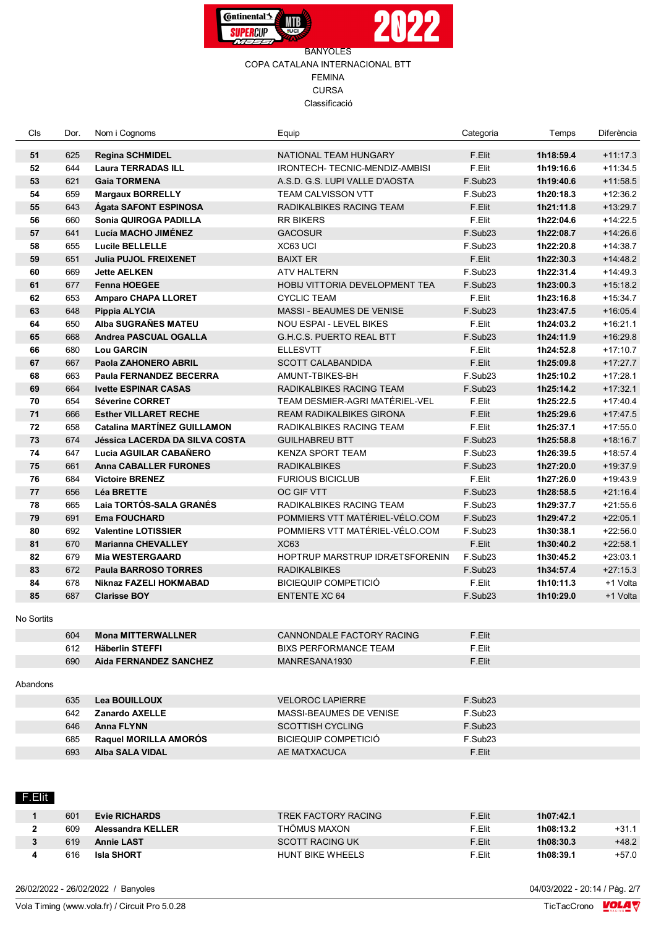



| Dor. | Nom i Cognoms                                                                                                                                                                                                                       | Equip                                                                                                                                                                                                                                                                                                                                                                                                                                                                                                                                                                                                                                                                                                                                                                                                  | Categoria                                                                                                                                                                                                                                                                                                                                                                                                                                                                                                                                                                                                                                                                                              | Temps                                                                                                                                                                                                                                                                                                                                                                                                                                                        | Diferència                                                                                                                                                                                                                                                                                                                                                  |
|------|-------------------------------------------------------------------------------------------------------------------------------------------------------------------------------------------------------------------------------------|--------------------------------------------------------------------------------------------------------------------------------------------------------------------------------------------------------------------------------------------------------------------------------------------------------------------------------------------------------------------------------------------------------------------------------------------------------------------------------------------------------------------------------------------------------------------------------------------------------------------------------------------------------------------------------------------------------------------------------------------------------------------------------------------------------|--------------------------------------------------------------------------------------------------------------------------------------------------------------------------------------------------------------------------------------------------------------------------------------------------------------------------------------------------------------------------------------------------------------------------------------------------------------------------------------------------------------------------------------------------------------------------------------------------------------------------------------------------------------------------------------------------------|--------------------------------------------------------------------------------------------------------------------------------------------------------------------------------------------------------------------------------------------------------------------------------------------------------------------------------------------------------------------------------------------------------------------------------------------------------------|-------------------------------------------------------------------------------------------------------------------------------------------------------------------------------------------------------------------------------------------------------------------------------------------------------------------------------------------------------------|
| 625  | <b>Regina SCHMIDEL</b>                                                                                                                                                                                                              | NATIONAL TEAM HUNGARY                                                                                                                                                                                                                                                                                                                                                                                                                                                                                                                                                                                                                                                                                                                                                                                  | F.Elit                                                                                                                                                                                                                                                                                                                                                                                                                                                                                                                                                                                                                                                                                                 | 1h18:59.4                                                                                                                                                                                                                                                                                                                                                                                                                                                    | $+11:17.3$                                                                                                                                                                                                                                                                                                                                                  |
| 644  | <b>Laura TERRADAS ILL</b>                                                                                                                                                                                                           | IRONTECH- TECNIC-MENDIZ-AMBISI                                                                                                                                                                                                                                                                                                                                                                                                                                                                                                                                                                                                                                                                                                                                                                         | F.Elit                                                                                                                                                                                                                                                                                                                                                                                                                                                                                                                                                                                                                                                                                                 | 1h19:16.6                                                                                                                                                                                                                                                                                                                                                                                                                                                    | $+11:34.5$                                                                                                                                                                                                                                                                                                                                                  |
| 621  | <b>Gaia TORMENA</b>                                                                                                                                                                                                                 | A.S.D. G.S. LUPI VALLE D'AOSTA                                                                                                                                                                                                                                                                                                                                                                                                                                                                                                                                                                                                                                                                                                                                                                         | F.Sub23                                                                                                                                                                                                                                                                                                                                                                                                                                                                                                                                                                                                                                                                                                | 1h19:40.6                                                                                                                                                                                                                                                                                                                                                                                                                                                    | $+11:58.5$                                                                                                                                                                                                                                                                                                                                                  |
| 659  | <b>Margaux BORRELLY</b>                                                                                                                                                                                                             | <b>TEAM CALVISSON VTT</b>                                                                                                                                                                                                                                                                                                                                                                                                                                                                                                                                                                                                                                                                                                                                                                              | F.Sub <sub>23</sub>                                                                                                                                                                                                                                                                                                                                                                                                                                                                                                                                                                                                                                                                                    | 1h20:18.3                                                                                                                                                                                                                                                                                                                                                                                                                                                    | $+12:36.2$                                                                                                                                                                                                                                                                                                                                                  |
|      |                                                                                                                                                                                                                                     | RADIKALBIKES RACING TEAM                                                                                                                                                                                                                                                                                                                                                                                                                                                                                                                                                                                                                                                                                                                                                                               | F.Elit                                                                                                                                                                                                                                                                                                                                                                                                                                                                                                                                                                                                                                                                                                 |                                                                                                                                                                                                                                                                                                                                                                                                                                                              | $+13:29.7$                                                                                                                                                                                                                                                                                                                                                  |
| 660  | Sonia QUIROGA PADILLA                                                                                                                                                                                                               | <b>RR BIKERS</b>                                                                                                                                                                                                                                                                                                                                                                                                                                                                                                                                                                                                                                                                                                                                                                                       | F.Elit                                                                                                                                                                                                                                                                                                                                                                                                                                                                                                                                                                                                                                                                                                 |                                                                                                                                                                                                                                                                                                                                                                                                                                                              | $+14:22.5$                                                                                                                                                                                                                                                                                                                                                  |
|      |                                                                                                                                                                                                                                     |                                                                                                                                                                                                                                                                                                                                                                                                                                                                                                                                                                                                                                                                                                                                                                                                        |                                                                                                                                                                                                                                                                                                                                                                                                                                                                                                                                                                                                                                                                                                        |                                                                                                                                                                                                                                                                                                                                                                                                                                                              | $+14:26.6$                                                                                                                                                                                                                                                                                                                                                  |
|      |                                                                                                                                                                                                                                     | XC63 UCI                                                                                                                                                                                                                                                                                                                                                                                                                                                                                                                                                                                                                                                                                                                                                                                               |                                                                                                                                                                                                                                                                                                                                                                                                                                                                                                                                                                                                                                                                                                        |                                                                                                                                                                                                                                                                                                                                                                                                                                                              | $+14:38.7$                                                                                                                                                                                                                                                                                                                                                  |
|      | <b>Julia PUJOL FREIXENET</b>                                                                                                                                                                                                        | <b>BAIXT ER</b>                                                                                                                                                                                                                                                                                                                                                                                                                                                                                                                                                                                                                                                                                                                                                                                        |                                                                                                                                                                                                                                                                                                                                                                                                                                                                                                                                                                                                                                                                                                        |                                                                                                                                                                                                                                                                                                                                                                                                                                                              | $+14:48.2$                                                                                                                                                                                                                                                                                                                                                  |
|      |                                                                                                                                                                                                                                     | <b>ATV HALTERN</b>                                                                                                                                                                                                                                                                                                                                                                                                                                                                                                                                                                                                                                                                                                                                                                                     |                                                                                                                                                                                                                                                                                                                                                                                                                                                                                                                                                                                                                                                                                                        |                                                                                                                                                                                                                                                                                                                                                                                                                                                              | $+14:49.3$                                                                                                                                                                                                                                                                                                                                                  |
|      |                                                                                                                                                                                                                                     | <b>HOBIJ VITTORIA DEVELOPMENT TEA</b>                                                                                                                                                                                                                                                                                                                                                                                                                                                                                                                                                                                                                                                                                                                                                                  |                                                                                                                                                                                                                                                                                                                                                                                                                                                                                                                                                                                                                                                                                                        |                                                                                                                                                                                                                                                                                                                                                                                                                                                              | $+15:18.2$                                                                                                                                                                                                                                                                                                                                                  |
|      |                                                                                                                                                                                                                                     |                                                                                                                                                                                                                                                                                                                                                                                                                                                                                                                                                                                                                                                                                                                                                                                                        |                                                                                                                                                                                                                                                                                                                                                                                                                                                                                                                                                                                                                                                                                                        |                                                                                                                                                                                                                                                                                                                                                                                                                                                              | $+15:34.7$                                                                                                                                                                                                                                                                                                                                                  |
|      |                                                                                                                                                                                                                                     |                                                                                                                                                                                                                                                                                                                                                                                                                                                                                                                                                                                                                                                                                                                                                                                                        |                                                                                                                                                                                                                                                                                                                                                                                                                                                                                                                                                                                                                                                                                                        |                                                                                                                                                                                                                                                                                                                                                                                                                                                              | $+16:05.4$                                                                                                                                                                                                                                                                                                                                                  |
|      |                                                                                                                                                                                                                                     |                                                                                                                                                                                                                                                                                                                                                                                                                                                                                                                                                                                                                                                                                                                                                                                                        |                                                                                                                                                                                                                                                                                                                                                                                                                                                                                                                                                                                                                                                                                                        |                                                                                                                                                                                                                                                                                                                                                                                                                                                              | $+16:21.1$                                                                                                                                                                                                                                                                                                                                                  |
|      |                                                                                                                                                                                                                                     |                                                                                                                                                                                                                                                                                                                                                                                                                                                                                                                                                                                                                                                                                                                                                                                                        |                                                                                                                                                                                                                                                                                                                                                                                                                                                                                                                                                                                                                                                                                                        |                                                                                                                                                                                                                                                                                                                                                                                                                                                              | $+16:29.8$                                                                                                                                                                                                                                                                                                                                                  |
|      |                                                                                                                                                                                                                                     |                                                                                                                                                                                                                                                                                                                                                                                                                                                                                                                                                                                                                                                                                                                                                                                                        |                                                                                                                                                                                                                                                                                                                                                                                                                                                                                                                                                                                                                                                                                                        |                                                                                                                                                                                                                                                                                                                                                                                                                                                              | $+17:10.7$                                                                                                                                                                                                                                                                                                                                                  |
|      |                                                                                                                                                                                                                                     |                                                                                                                                                                                                                                                                                                                                                                                                                                                                                                                                                                                                                                                                                                                                                                                                        |                                                                                                                                                                                                                                                                                                                                                                                                                                                                                                                                                                                                                                                                                                        |                                                                                                                                                                                                                                                                                                                                                                                                                                                              | $+17:27.7$                                                                                                                                                                                                                                                                                                                                                  |
|      |                                                                                                                                                                                                                                     |                                                                                                                                                                                                                                                                                                                                                                                                                                                                                                                                                                                                                                                                                                                                                                                                        |                                                                                                                                                                                                                                                                                                                                                                                                                                                                                                                                                                                                                                                                                                        |                                                                                                                                                                                                                                                                                                                                                                                                                                                              | $+17:28.1$                                                                                                                                                                                                                                                                                                                                                  |
|      |                                                                                                                                                                                                                                     |                                                                                                                                                                                                                                                                                                                                                                                                                                                                                                                                                                                                                                                                                                                                                                                                        |                                                                                                                                                                                                                                                                                                                                                                                                                                                                                                                                                                                                                                                                                                        |                                                                                                                                                                                                                                                                                                                                                                                                                                                              | $+17:32.1$                                                                                                                                                                                                                                                                                                                                                  |
|      |                                                                                                                                                                                                                                     |                                                                                                                                                                                                                                                                                                                                                                                                                                                                                                                                                                                                                                                                                                                                                                                                        |                                                                                                                                                                                                                                                                                                                                                                                                                                                                                                                                                                                                                                                                                                        |                                                                                                                                                                                                                                                                                                                                                                                                                                                              |                                                                                                                                                                                                                                                                                                                                                             |
|      |                                                                                                                                                                                                                                     |                                                                                                                                                                                                                                                                                                                                                                                                                                                                                                                                                                                                                                                                                                                                                                                                        |                                                                                                                                                                                                                                                                                                                                                                                                                                                                                                                                                                                                                                                                                                        |                                                                                                                                                                                                                                                                                                                                                                                                                                                              | $+17:40.4$                                                                                                                                                                                                                                                                                                                                                  |
|      |                                                                                                                                                                                                                                     |                                                                                                                                                                                                                                                                                                                                                                                                                                                                                                                                                                                                                                                                                                                                                                                                        |                                                                                                                                                                                                                                                                                                                                                                                                                                                                                                                                                                                                                                                                                                        |                                                                                                                                                                                                                                                                                                                                                                                                                                                              | $+17:47.5$                                                                                                                                                                                                                                                                                                                                                  |
|      |                                                                                                                                                                                                                                     |                                                                                                                                                                                                                                                                                                                                                                                                                                                                                                                                                                                                                                                                                                                                                                                                        |                                                                                                                                                                                                                                                                                                                                                                                                                                                                                                                                                                                                                                                                                                        |                                                                                                                                                                                                                                                                                                                                                                                                                                                              | $+17:55.0$                                                                                                                                                                                                                                                                                                                                                  |
|      |                                                                                                                                                                                                                                     |                                                                                                                                                                                                                                                                                                                                                                                                                                                                                                                                                                                                                                                                                                                                                                                                        |                                                                                                                                                                                                                                                                                                                                                                                                                                                                                                                                                                                                                                                                                                        |                                                                                                                                                                                                                                                                                                                                                                                                                                                              | $+18:16.7$                                                                                                                                                                                                                                                                                                                                                  |
|      |                                                                                                                                                                                                                                     |                                                                                                                                                                                                                                                                                                                                                                                                                                                                                                                                                                                                                                                                                                                                                                                                        |                                                                                                                                                                                                                                                                                                                                                                                                                                                                                                                                                                                                                                                                                                        |                                                                                                                                                                                                                                                                                                                                                                                                                                                              | $+18:57.4$                                                                                                                                                                                                                                                                                                                                                  |
|      |                                                                                                                                                                                                                                     |                                                                                                                                                                                                                                                                                                                                                                                                                                                                                                                                                                                                                                                                                                                                                                                                        |                                                                                                                                                                                                                                                                                                                                                                                                                                                                                                                                                                                                                                                                                                        |                                                                                                                                                                                                                                                                                                                                                                                                                                                              | $+19.37.9$                                                                                                                                                                                                                                                                                                                                                  |
|      |                                                                                                                                                                                                                                     |                                                                                                                                                                                                                                                                                                                                                                                                                                                                                                                                                                                                                                                                                                                                                                                                        |                                                                                                                                                                                                                                                                                                                                                                                                                                                                                                                                                                                                                                                                                                        |                                                                                                                                                                                                                                                                                                                                                                                                                                                              | $+19:43.9$                                                                                                                                                                                                                                                                                                                                                  |
|      |                                                                                                                                                                                                                                     |                                                                                                                                                                                                                                                                                                                                                                                                                                                                                                                                                                                                                                                                                                                                                                                                        |                                                                                                                                                                                                                                                                                                                                                                                                                                                                                                                                                                                                                                                                                                        |                                                                                                                                                                                                                                                                                                                                                                                                                                                              | $+21:16.4$                                                                                                                                                                                                                                                                                                                                                  |
|      |                                                                                                                                                                                                                                     |                                                                                                                                                                                                                                                                                                                                                                                                                                                                                                                                                                                                                                                                                                                                                                                                        |                                                                                                                                                                                                                                                                                                                                                                                                                                                                                                                                                                                                                                                                                                        |                                                                                                                                                                                                                                                                                                                                                                                                                                                              | $+21:55.6$                                                                                                                                                                                                                                                                                                                                                  |
|      |                                                                                                                                                                                                                                     |                                                                                                                                                                                                                                                                                                                                                                                                                                                                                                                                                                                                                                                                                                                                                                                                        |                                                                                                                                                                                                                                                                                                                                                                                                                                                                                                                                                                                                                                                                                                        |                                                                                                                                                                                                                                                                                                                                                                                                                                                              | $+22:05.1$                                                                                                                                                                                                                                                                                                                                                  |
|      |                                                                                                                                                                                                                                     |                                                                                                                                                                                                                                                                                                                                                                                                                                                                                                                                                                                                                                                                                                                                                                                                        |                                                                                                                                                                                                                                                                                                                                                                                                                                                                                                                                                                                                                                                                                                        |                                                                                                                                                                                                                                                                                                                                                                                                                                                              | $+22:56.0$                                                                                                                                                                                                                                                                                                                                                  |
|      | <b>Marianna CHEVALLEY</b>                                                                                                                                                                                                           | <b>XC63</b>                                                                                                                                                                                                                                                                                                                                                                                                                                                                                                                                                                                                                                                                                                                                                                                            |                                                                                                                                                                                                                                                                                                                                                                                                                                                                                                                                                                                                                                                                                                        |                                                                                                                                                                                                                                                                                                                                                                                                                                                              | $+22:58.1$                                                                                                                                                                                                                                                                                                                                                  |
|      | <b>Mia WESTERGAARD</b>                                                                                                                                                                                                              | HOPTRUP MARSTRUP IDRÆTSFORENIN                                                                                                                                                                                                                                                                                                                                                                                                                                                                                                                                                                                                                                                                                                                                                                         |                                                                                                                                                                                                                                                                                                                                                                                                                                                                                                                                                                                                                                                                                                        | 1h30:45.2                                                                                                                                                                                                                                                                                                                                                                                                                                                    | $+23:03.1$                                                                                                                                                                                                                                                                                                                                                  |
|      | <b>Paula BARROSO TORRES</b>                                                                                                                                                                                                         | <b>RADIKALBIKES</b>                                                                                                                                                                                                                                                                                                                                                                                                                                                                                                                                                                                                                                                                                                                                                                                    | F.Sub23                                                                                                                                                                                                                                                                                                                                                                                                                                                                                                                                                                                                                                                                                                | 1h34:57.4                                                                                                                                                                                                                                                                                                                                                                                                                                                    | $+27:15.3$                                                                                                                                                                                                                                                                                                                                                  |
| 678  | Niknaz FAZELI HOKMABAD                                                                                                                                                                                                              | <b>BICIEQUIP COMPETICIÓ</b>                                                                                                                                                                                                                                                                                                                                                                                                                                                                                                                                                                                                                                                                                                                                                                            | F.Elit                                                                                                                                                                                                                                                                                                                                                                                                                                                                                                                                                                                                                                                                                                 | 1h10:11.3                                                                                                                                                                                                                                                                                                                                                                                                                                                    | +1 Volta                                                                                                                                                                                                                                                                                                                                                    |
| 687  | <b>Clarisse BOY</b>                                                                                                                                                                                                                 | <b>ENTENTE XC 64</b>                                                                                                                                                                                                                                                                                                                                                                                                                                                                                                                                                                                                                                                                                                                                                                                   | F.Sub <sub>23</sub>                                                                                                                                                                                                                                                                                                                                                                                                                                                                                                                                                                                                                                                                                    | 1h10:29.0                                                                                                                                                                                                                                                                                                                                                                                                                                                    | +1 Volta                                                                                                                                                                                                                                                                                                                                                    |
|      |                                                                                                                                                                                                                                     |                                                                                                                                                                                                                                                                                                                                                                                                                                                                                                                                                                                                                                                                                                                                                                                                        |                                                                                                                                                                                                                                                                                                                                                                                                                                                                                                                                                                                                                                                                                                        |                                                                                                                                                                                                                                                                                                                                                                                                                                                              |                                                                                                                                                                                                                                                                                                                                                             |
|      |                                                                                                                                                                                                                                     |                                                                                                                                                                                                                                                                                                                                                                                                                                                                                                                                                                                                                                                                                                                                                                                                        |                                                                                                                                                                                                                                                                                                                                                                                                                                                                                                                                                                                                                                                                                                        |                                                                                                                                                                                                                                                                                                                                                                                                                                                              |                                                                                                                                                                                                                                                                                                                                                             |
| 612  | <b>Häberlin STEFFI</b>                                                                                                                                                                                                              | <b>BIXS PERFORMANCE TEAM</b>                                                                                                                                                                                                                                                                                                                                                                                                                                                                                                                                                                                                                                                                                                                                                                           | F.Elit                                                                                                                                                                                                                                                                                                                                                                                                                                                                                                                                                                                                                                                                                                 |                                                                                                                                                                                                                                                                                                                                                                                                                                                              |                                                                                                                                                                                                                                                                                                                                                             |
| 690  | <b>Aida FERNANDEZ SANCHEZ</b>                                                                                                                                                                                                       | MANRESANA1930                                                                                                                                                                                                                                                                                                                                                                                                                                                                                                                                                                                                                                                                                                                                                                                          | F.Elit                                                                                                                                                                                                                                                                                                                                                                                                                                                                                                                                                                                                                                                                                                 |                                                                                                                                                                                                                                                                                                                                                                                                                                                              |                                                                                                                                                                                                                                                                                                                                                             |
|      |                                                                                                                                                                                                                                     |                                                                                                                                                                                                                                                                                                                                                                                                                                                                                                                                                                                                                                                                                                                                                                                                        |                                                                                                                                                                                                                                                                                                                                                                                                                                                                                                                                                                                                                                                                                                        |                                                                                                                                                                                                                                                                                                                                                                                                                                                              |                                                                                                                                                                                                                                                                                                                                                             |
|      |                                                                                                                                                                                                                                     |                                                                                                                                                                                                                                                                                                                                                                                                                                                                                                                                                                                                                                                                                                                                                                                                        |                                                                                                                                                                                                                                                                                                                                                                                                                                                                                                                                                                                                                                                                                                        |                                                                                                                                                                                                                                                                                                                                                                                                                                                              |                                                                                                                                                                                                                                                                                                                                                             |
|      |                                                                                                                                                                                                                                     |                                                                                                                                                                                                                                                                                                                                                                                                                                                                                                                                                                                                                                                                                                                                                                                                        |                                                                                                                                                                                                                                                                                                                                                                                                                                                                                                                                                                                                                                                                                                        |                                                                                                                                                                                                                                                                                                                                                                                                                                                              |                                                                                                                                                                                                                                                                                                                                                             |
|      |                                                                                                                                                                                                                                     |                                                                                                                                                                                                                                                                                                                                                                                                                                                                                                                                                                                                                                                                                                                                                                                                        |                                                                                                                                                                                                                                                                                                                                                                                                                                                                                                                                                                                                                                                                                                        |                                                                                                                                                                                                                                                                                                                                                                                                                                                              |                                                                                                                                                                                                                                                                                                                                                             |
|      |                                                                                                                                                                                                                                     |                                                                                                                                                                                                                                                                                                                                                                                                                                                                                                                                                                                                                                                                                                                                                                                                        |                                                                                                                                                                                                                                                                                                                                                                                                                                                                                                                                                                                                                                                                                                        |                                                                                                                                                                                                                                                                                                                                                                                                                                                              |                                                                                                                                                                                                                                                                                                                                                             |
|      |                                                                                                                                                                                                                                     |                                                                                                                                                                                                                                                                                                                                                                                                                                                                                                                                                                                                                                                                                                                                                                                                        |                                                                                                                                                                                                                                                                                                                                                                                                                                                                                                                                                                                                                                                                                                        |                                                                                                                                                                                                                                                                                                                                                                                                                                                              |                                                                                                                                                                                                                                                                                                                                                             |
| 693  | <b>Alba SALA VIDAL</b>                                                                                                                                                                                                              | AE MATXACUCA                                                                                                                                                                                                                                                                                                                                                                                                                                                                                                                                                                                                                                                                                                                                                                                           |                                                                                                                                                                                                                                                                                                                                                                                                                                                                                                                                                                                                                                                                                                        |                                                                                                                                                                                                                                                                                                                                                                                                                                                              |                                                                                                                                                                                                                                                                                                                                                             |
|      |                                                                                                                                                                                                                                     |                                                                                                                                                                                                                                                                                                                                                                                                                                                                                                                                                                                                                                                                                                                                                                                                        |                                                                                                                                                                                                                                                                                                                                                                                                                                                                                                                                                                                                                                                                                                        |                                                                                                                                                                                                                                                                                                                                                                                                                                                              |                                                                                                                                                                                                                                                                                                                                                             |
|      | 643<br>641<br>655<br>651<br>669<br>677<br>653<br>648<br>650<br>668<br>680<br>667<br>663<br>664<br>654<br>666<br>658<br>674<br>647<br>661<br>684<br>656<br>665<br>691<br>692<br>670<br>679<br>672<br>604<br>635<br>642<br>646<br>685 | <b>Ágata SAFONT ESPINOSA</b><br>Lucía MACHO JIMÉNEZ<br>Lucile BELLELLE<br><b>Jette AELKEN</b><br><b>Fenna HOEGEE</b><br><b>Amparo CHAPA LLORET</b><br>Pippia ALYCIA<br>Alba SUGRAÑES MATEU<br><b>Andrea PASCUAL OGALLA</b><br><b>Lou GARCIN</b><br>Paola ZAHONERO ABRIL<br><b>Paula FERNANDEZ BECERRA</b><br><b>Ivette ESPINAR CASAS</b><br><b>Séverine CORRET</b><br><b>Esther VILLARET RECHE</b><br><b>Catalina MARTÍNEZ GUILLAMON</b><br><b>Jéssica LACERDA DA SILVA COSTA</b><br>Lucia AGUILAR CABAÑERO<br><b>Anna CABALLER FURONES</b><br><b>Victoire BRENEZ</b><br><b>Léa BRETTE</b><br>Laia TORTÓS-SALA GRANÉS<br><b>Ema FOUCHARD</b><br><b>Valentine LOTISSIER</b><br><b>Mona MITTERWALLNER</b><br><b>Lea BOUILLOUX</b><br><b>Zanardo AXELLE</b><br><b>Anna FLYNN</b><br>Raquel MORILLA AMORÓS | <b>GACOSUR</b><br><b>CYCLIC TEAM</b><br><b>MASSI - BEAUMES DE VENISE</b><br>NOU ESPAI - LEVEL BIKES<br><b>G.H.C.S. PUERTO REAL BTT</b><br><b>ELLESVTT</b><br><b>SCOTT CALABANDIDA</b><br>AMUNT-TBIKES-BH<br>RADIKALBIKES RACING TEAM<br>TEAM DESMIER-AGRI MATÉRIEL-VEL<br><b>REAM RADIKALBIKES GIRONA</b><br>RADIKALBIKES RACING TEAM<br><b>GUILHABREU BTT</b><br><b>KENZA SPORT TEAM</b><br><b>RADIKALBIKES</b><br><b>FURIOUS BICICLUB</b><br>OC GIF VTT<br>RADIKALBIKES RACING TEAM<br>POMMIERS VTT MATÉRIEL-VÉLO.COM<br>POMMIERS VTT MATÉRIEL-VÉLO.COM<br>CANNONDALE FACTORY RACING<br><b>VELOROC LAPIERRE</b><br>MASSI-BEAUMES DE VENISE<br><b>SCOTTISH CYCLING</b><br><b>BICIEQUIP COMPETICIÓ</b> | F.Sub23<br>F.Sub <sub>23</sub><br>F.Elit<br>F.Sub23<br>F.Sub <sub>23</sub><br>F.Elit<br>F.Sub23<br>F.Elit<br>F.Sub23<br>F.Elit<br>F.Elit<br>F.Sub23<br>F.Sub23<br>F.Elit<br>F.Elit<br>F.Elit<br>F.Sub <sub>23</sub><br>F.Sub <sub>23</sub><br>F.Sub <sub>23</sub><br>F.Elit<br>F.Sub23<br>F.Sub23<br>F.Sub23<br>F.Sub23<br>F.Elit<br>F.Sub23<br>F.Elit<br>F.Sub <sub>23</sub><br>F.Sub <sub>23</sub><br>F.Sub <sub>23</sub><br>F.Sub <sub>23</sub><br>F.Elit | 1h21:11.8<br>1h22:04.6<br>1h22:08.7<br>1h22:20.8<br>1h22:30.3<br>1h22:31.4<br>1h23:00.3<br>1h23:16.8<br>1h23:47.5<br>1h24:03.2<br>1h24:11.9<br>1h24:52.8<br>1h25:09.8<br>1h25:10.2<br>1h25:14.2<br>1h25:22.5<br>1h25:29.6<br>1h25:37.1<br>1h25:58.8<br>1h26:39.5<br>1h27:20.0<br>1h27:26.0<br>1h28:58.5<br>1h29:37.7<br>1h29:47.2<br>1h30:38.1<br>1h30:40.2 |

26/02/2022 - 26/02/2022 / Banyoles

601 **Evie RICHARDS** TREK FACTORY RACING F.Elit **1h07:42.1**

 609 **Alessandra KELLER** THÖMUS MAXON F.Elit **1h08:13.2** +31.1 619 **Annie LAST** SCOTT RACING UK F.Elit **1h08:30.3** +48.2 616 **Isla SHORT** HUNT BIKE WHEELS F.Elit **1h08:39.1** +57.0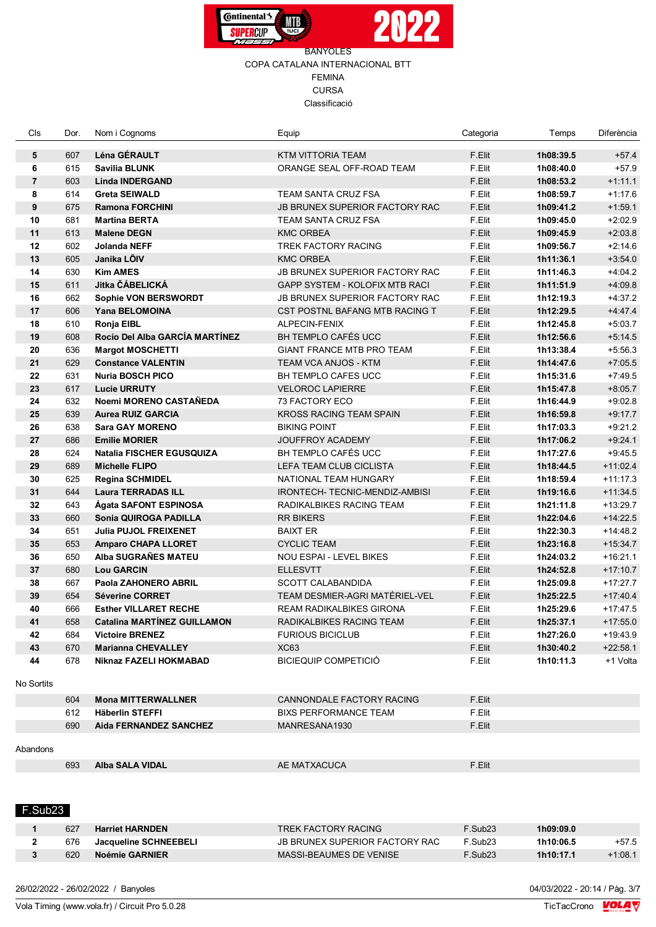



| Cls            | Dor.       | Nom i Cognoms                                       | Equip                                                     | Categoria           | Temps     | Diferència |
|----------------|------------|-----------------------------------------------------|-----------------------------------------------------------|---------------------|-----------|------------|
| 5              | 607        | Léna GÉRAULT                                        | KTM VITTORIA TEAM                                         | F.Elit              | 1h08:39.5 | $+57.4$    |
| 6              | 615        | <b>Savilia BLUNK</b>                                | ORANGE SEAL OFF-ROAD TEAM                                 | F.Elit              | 1h08:40.0 | $+57.9$    |
| $\overline{7}$ | 603        | <b>Linda INDERGAND</b>                              |                                                           | F.Elit              | 1h08:53.2 | $+1:11.1$  |
| 8              | 614        | <b>Greta SEIWALD</b>                                | TEAM SANTA CRUZ FSA                                       | F.Elit              | 1h08:59.7 | $+1:17.6$  |
| 9              | 675        | <b>Ramona FORCHINI</b>                              | <b>JB BRUNEX SUPERIOR FACTORY RAC</b>                     | F.Elit              | 1h09:41.2 | $+1:59.1$  |
| 10             | 681        | <b>Martina BERTA</b>                                | TEAM SANTA CRUZ FSA                                       | F.Elit              | 1h09:45.0 | $+2:02.9$  |
| 11             | 613        | <b>Malene DEGN</b>                                  | <b>KMC ORBEA</b>                                          | F.Elit              | 1h09:45.9 | $+2:03.8$  |
| 12             | 602        | <b>Jolanda NEFF</b>                                 | TREK FACTORY RACING                                       | F.Elit              | 1h09:56.7 | $+2:14.6$  |
| 13             | 605        | Janika LÕIV                                         | <b>KMC ORBEA</b>                                          | F.Elit              | 1h11:36.1 | $+3.54.0$  |
| 14             | 630        | <b>Kim AMES</b>                                     | JB BRUNEX SUPERIOR FACTORY RAC                            | F.Elit              | 1h11:46.3 | $+4:04.2$  |
|                | 611        | Jitka ČÁBELICKÁ                                     |                                                           | F.Elit              |           |            |
| 15             |            |                                                     | <b>GAPP SYSTEM - KOLOFIX MTB RACI</b>                     |                     | 1h11:51.9 | $+4:09.8$  |
| 16             | 662        | Sophie VON BERSWORDT                                | JB BRUNEX SUPERIOR FACTORY RAC                            | F.Elit              | 1h12:19.3 | $+4.37.2$  |
| 17             | 606        | Yana BELOMOINA                                      | CST POSTNL BAFANG MTB RACING T                            | F.Elit              | 1h12:29.5 | $+4.47.4$  |
| 18             | 610        | Ronja EIBL                                          | ALPECIN-FENIX                                             | F.Elit              | 1h12:45.8 | $+5:03.7$  |
| 19             | 608        | Rocío Del Alba GARCÍA MARTÍNEZ                      | BH TEMPLO CAFÉS UCC                                       | F.Elit              | 1h12:56.6 | $+5:14.5$  |
| 20             | 636        | <b>Margot MOSCHETTI</b>                             | GIANT FRANCE MTB PRO TEAM                                 | F.Elit              | 1h13:38.4 | $+5:56.3$  |
| 21             | 629        | <b>Constance VALENTIN</b>                           | TEAM VCA ANJOS - KTM                                      | F.Elit              | 1h14:47.6 | $+7:05.5$  |
| 22             | 631        | <b>Nuria BOSCH PICO</b>                             | <b>BH TEMPLO CAFES UCC</b>                                | F.Elit              | 1h15:31.6 | $+7.49.5$  |
| 23             | 617        | <b>Lucie URRUTY</b>                                 | <b>VELOROC LAPIERRE</b>                                   | F.Elit              | 1h15:47.8 | $+8:05.7$  |
| 24             | 632        | Noemi MORENO CASTAÑEDA                              | <b>73 FACTORY ECO</b>                                     | F.Elit              | 1h16:44.9 | $+9:02.8$  |
| 25             | 639        | <b>Aurea RUIZ GARCIA</b>                            | <b>KROSS RACING TEAM SPAIN</b>                            | F.Elit              | 1h16:59.8 | $+9.17.7$  |
| 26             | 638        | <b>Sara GAY MORENO</b>                              | <b>BIKING POINT</b>                                       | F.Elit              | 1h17:03.3 | $+9:21.2$  |
| 27             | 686        | <b>Emilie MORIER</b>                                | <b>JOUFFROY ACADEMY</b>                                   | F.Elit              | 1h17:06.2 | $+9:24.1$  |
| 28             | 624        | <b>Natalia FISCHER EGUSQUIZA</b>                    | BH TEMPLO CAFÉS UCC                                       | F.Elit              | 1h17:27.6 | $+9:45.5$  |
| 29             | 689        | <b>Michelle FLIPO</b>                               | LEFA TEAM CLUB CICLISTA                                   | F.Elit              | 1h18:44.5 | $+11:02.4$ |
| 30             | 625        | <b>Regina SCHMIDEL</b>                              | NATIONAL TEAM HUNGARY                                     | F.Elit              | 1h18:59.4 | $+11:17.3$ |
| 31             | 644        | <b>Laura TERRADAS ILL</b>                           | IRONTECH- TECNIC-MENDIZ-AMBISI                            | F.Elit              | 1h19:16.6 | $+11:34.5$ |
| 32             | 643        | Ágata SAFONT ESPINOSA                               | RADIKALBIKES RACING TEAM                                  | F.Elit              | 1h21:11.8 | $+13:29.7$ |
| 33             | 660        | Sonia QUIROGA PADILLA                               | <b>RR BIKERS</b>                                          | F.Elit              | 1h22:04.6 | $+14:22.5$ |
| 34             | 651        | <b>Julia PUJOL FREIXENET</b>                        | <b>BAIXT ER</b>                                           | F.Elit              | 1h22:30.3 | $+14:48.2$ |
| 35             | 653        | <b>Amparo CHAPA LLORET</b>                          | <b>CYCLIC TEAM</b>                                        | F.Elit              | 1h23:16.8 | $+15:34.7$ |
| 36             | 650        | Alba SUGRAÑES MATEU                                 | NOU ESPAI - LEVEL BIKES                                   | F.Elit              | 1h24:03.2 | $+16:21.1$ |
| 37             | 680        | <b>Lou GARCIN</b>                                   | <b>ELLESVTT</b>                                           | F.Elit              | 1h24:52.8 | $+17:10.7$ |
| 38             | 667        | Paola ZAHONERO ABRIL                                | <b>SCOTT CALABANDIDA</b>                                  | F.Elit              | 1h25:09.8 | $+17:27.7$ |
| 39             | 654        | <b>Séverine CORRET</b>                              | TEAM DESMIER-AGRI MATÉRIEL-VEL                            | F.Elit              | 1h25:22.5 | $+17:40.4$ |
| 40             | 666        | <b>Esther VILLARET RECHE</b>                        | <b>REAM RADIKALBIKES GIRONA</b>                           | F.Elit              | 1h25:29.6 | $+17:47.5$ |
| 41             | 658        | <b>Catalina MARTINEZ GUILLAMON</b>                  | RADIKALBIKES RACING TEAM                                  | F.Elit              | 1h25:37.1 | $+17:55.0$ |
| 42             | 684        | <b>Victoire BRENEZ</b>                              | <b>FURIOUS BICICLUB</b>                                   | F.Elit              | 1h27:26.0 | $+19.43.9$ |
| 43             | 670        | <b>Marianna CHEVALLEY</b>                           | XC63                                                      | F.Elit              | 1h30:40.2 | $+22:58.1$ |
| 44             | 678        | Niknaz FAZELI HOKMABAD                              | <b>BICIEQUIP COMPETICIÓ</b>                               | F.Elit              | 1h10:11.3 | +1 Volta   |
| No Sortits     |            |                                                     |                                                           |                     |           |            |
|                |            |                                                     |                                                           |                     |           |            |
|                | 604<br>612 | <b>Mona MITTERWALLNER</b><br><b>Häberlin STEFFI</b> | CANNONDALE FACTORY RACING<br><b>BIXS PERFORMANCE TEAM</b> | F.Elit<br>F.Elit    |           |            |
|                |            |                                                     |                                                           |                     |           |            |
|                | 690        | Aida FERNANDEZ SANCHEZ                              | MANRESANA1930                                             | F.Elit              |           |            |
| Abandons       |            |                                                     |                                                           |                     |           |            |
| F.Sub23        | 693        | Alba SALA VIDAL                                     | AE MATXACUCA                                              | F.Elit              |           |            |
| $\mathbf{1}$   | 627        | <b>Harriet HARNDEN</b>                              | TREK FACTORY RACING                                       | F.Sub <sub>23</sub> | 1h09:09.0 |            |
| $\mathbf{2}$   | 676        | <b>Jacqueline SCHNEEBELI</b>                        | JB BRUNEX SUPERIOR FACTORY RAC                            | F.Sub <sub>23</sub> | 1h10:06.5 | $+57.5$    |
|                |            |                                                     |                                                           |                     |           |            |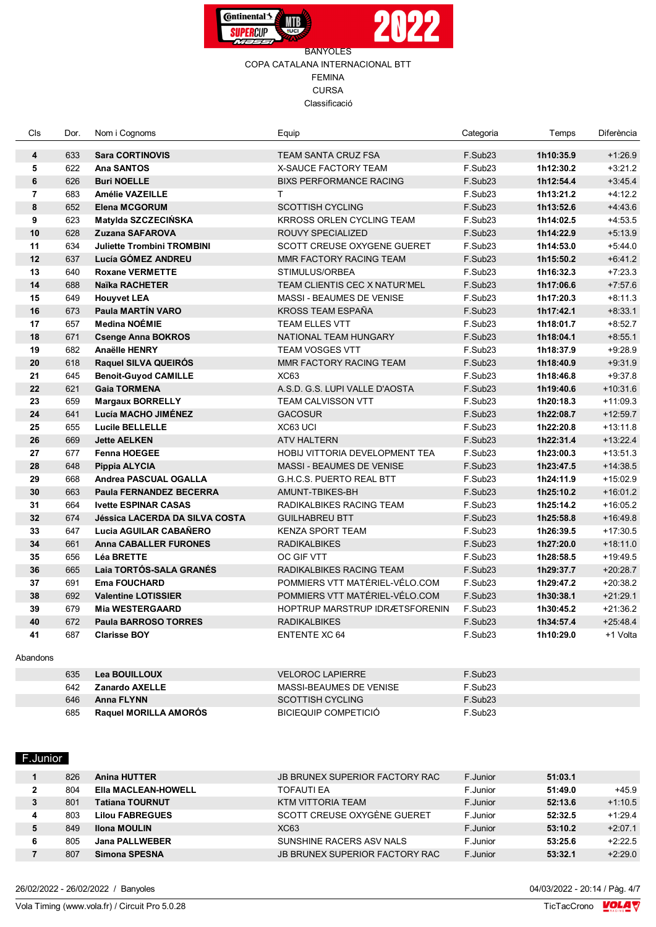



| Cls            | Dor. | Nom i Cognoms                         | Equip                                 | Categoria           | Temps     | Diferència |
|----------------|------|---------------------------------------|---------------------------------------|---------------------|-----------|------------|
| 4              | 633  | <b>Sara CORTINOVIS</b>                | TEAM SANTA CRUZ FSA                   | F.Sub <sub>23</sub> | 1h10:35.9 | $+1.26.9$  |
| 5              | 622  | Ana SANTOS                            | X-SAUCE FACTORY TEAM                  | F.Sub23             | 1h12:30.2 | $+3:21.2$  |
| 6              | 626  | <b>Buri NOELLE</b>                    | <b>BIXS PERFORMANCE RACING</b>        | F.Sub23             | 1h12:54.4 | $+3.45.4$  |
| $\overline{7}$ | 683  | Amélie VAZEILLE                       | T.                                    | F.Sub23             | 1h13:21.2 | $+4:12.2$  |
| 8              | 652  | <b>Elena MCGORUM</b>                  | <b>SCOTTISH CYCLING</b>               | F.Sub <sub>23</sub> | 1h13:52.6 | $+4.43.6$  |
| 9              | 623  | Matylda SZCZECIŃSKA                   | KRROSS ORLEN CYCLING TEAM             | F.Sub23             | 1h14:02.5 | $+4:53.5$  |
| 10             | 628  | <b>Zuzana SAFAROVA</b>                | <b>ROUVY SPECIALIZED</b>              | F.Sub23             | 1h14:22.9 | $+5:13.9$  |
| 11             | 634  | <b>Juliette Trombini TROMBINI</b>     | SCOTT CREUSE OXYGENE GUERET           | F.Sub23             | 1h14:53.0 | $+5.44.0$  |
| 12             | 637  | Lucía GÓMEZ ANDREU                    | MMR FACTORY RACING TEAM               | F.Sub23             | 1h15:50.2 | $+6:41.2$  |
| 13             | 640  | <b>Roxane VERMETTE</b>                | STIMULUS/ORBEA                        | F.Sub23             | 1h16:32.3 | $+7:23.3$  |
| 14             | 688  | <b>Naïka RACHETER</b>                 | TEAM CLIENTIS CEC X NATUR'MEL         | F.Sub23             | 1h17:06.6 | $+7:57.6$  |
| 15             | 649  | <b>Houyvet LEA</b>                    | MASSI - BEAUMES DE VENISE             | F.Sub23             | 1h17:20.3 | $+8:11.3$  |
| 16             | 673  | <b>Paula MARTÍN VARO</b>              | KROSS TEAM ESPAÑA                     | F.Sub23             | 1h17:42.1 | $+8:33.1$  |
| 17             | 657  | Medina NOÉMIE                         | TEAM ELLES VTT                        | F.Sub23             | 1h18:01.7 | $+8.52.7$  |
| 18             | 671  | <b>Csenge Anna BOKROS</b>             | NATIONAL TEAM HUNGARY                 | F.Sub23             | 1h18:04.1 | $+8:55.1$  |
| 19             | 682  | <b>Anaëlle HENRY</b>                  | <b>TEAM VOSGES VTT</b>                | F.Sub23             | 1h18:37.9 | $+9:28.9$  |
| 20             | 618  | Raquel SILVA QUEIRÓS                  | MMR FACTORY RACING TEAM               | F.Sub23             | 1h18:40.9 | $+9:31.9$  |
| 21             | 645  | <b>Benoit-Guyod CAMILLE</b>           | <b>XC63</b>                           | F.Sub23             | 1h18:46.8 | $+9:37.8$  |
| 22             | 621  | <b>Gaia TORMENA</b>                   | A.S.D. G.S. LUPI VALLE D'AOSTA        | F.Sub23             | 1h19:40.6 | $+10:31.6$ |
| 23             | 659  | <b>Margaux BORRELLY</b>               | TEAM CALVISSON VTT                    | F.Sub23             | 1h20:18.3 | $+11:09.3$ |
| 24             | 641  | Lucía MACHO JIMÉNEZ                   | <b>GACOSUR</b>                        | F.Sub23             | 1h22:08.7 | $+12:59.7$ |
| 25             | 655  | <b>Lucile BELLELLE</b>                | XC63 UCI                              | F.Sub <sub>23</sub> | 1h22:20.8 | $+13:11.8$ |
| 26             | 669  | <b>Jette AELKEN</b>                   | <b>ATV HALTERN</b>                    | F.Sub23             | 1h22:31.4 | $+13:22.4$ |
| 27             | 677  | <b>Fenna HOEGEE</b>                   | <b>HOBIJ VITTORIA DEVELOPMENT TEA</b> | F.Sub23             | 1h23:00.3 | $+13:51.3$ |
| 28             | 648  | Pippia ALYCIA                         | MASSI - BEAUMES DE VENISE             | F.Sub23             | 1h23:47.5 | $+14:38.5$ |
| 29             | 668  | Andrea PASCUAL OGALLA                 | <b>G.H.C.S. PUERTO REAL BTT</b>       | F.Sub23             | 1h24:11.9 | $+15:02.9$ |
| 30             | 663  | Paula FERNANDEZ BECERRA               | AMUNT-TBIKES-BH                       | F.Sub23             | 1h25:10.2 | $+16:01.2$ |
| 31             | 664  | <b>Ivette ESPINAR CASAS</b>           | RADIKALBIKES RACING TEAM              | F.Sub23             | 1h25:14.2 | $+16:05.2$ |
| 32             | 674  | <b>Jéssica LACERDA DA SILVA COSTA</b> | <b>GUILHABREU BTT</b>                 | F.Sub23             | 1h25:58.8 | $+16:49.8$ |
| 33             | 647  | Lucia AGUILAR CABAÑERO                | <b>KENZA SPORT TEAM</b>               | F.Sub23             | 1h26:39.5 | $+17:30.5$ |
| 34             | 661  | <b>Anna CABALLER FURONES</b>          | <b>RADIKALBIKES</b>                   | F.Sub23             | 1h27:20.0 | $+18:11.0$ |
| 35             | 656  | Léa BRETTE                            | OC GIF VTT                            | F.Sub <sub>23</sub> | 1h28:58.5 | $+19:49.5$ |
| 36             | 665  | Laia TORTÓS-SALA GRANÉS               | RADIKALBIKES RACING TEAM              | F.Sub23             | 1h29:37.7 | $+20:28.7$ |
| 37             | 691  | <b>Ema FOUCHARD</b>                   | POMMIERS VTT MATÉRIEL-VÉLO.COM        | F.Sub23             | 1h29:47.2 | $+20:38.2$ |
| 38             | 692  | <b>Valentine LOTISSIER</b>            | POMMIERS VTT MATÉRIEL-VÉLO.COM        | F.Sub23             | 1h30:38.1 | $+21:29.1$ |
| 39             | 679  | <b>Mia WESTERGAARD</b>                | HOPTRUP MARSTRUP IDRÆTSFORENIN        | F.Sub23             | 1h30:45.2 | $+21:36.2$ |
| 40             | 672  | <b>Paula BARROSO TORRES</b>           | <b>RADIKALBIKES</b>                   | F.Sub23             | 1h34:57.4 | $+25:48.4$ |
| 41             | 687  | <b>Clarisse BOY</b>                   | <b>ENTENTE XC 64</b>                  | F.Sub23             | 1h10:29.0 | +1 Volta   |
| Abandons       |      |                                       |                                       |                     |           |            |

| 635 | Lea BOUILLOUX                | <b>VELOROC LAPIERRE</b> | F.Sub <sub>23</sub> |
|-----|------------------------------|-------------------------|---------------------|
| 642 | Zanardo AXELLE               | MASSI-BEAUMES DE VENISE | F.Sub <sub>23</sub> |
| 646 | <b>Anna FLYNN</b>            | <b>SCOTTISH CYCLING</b> | F.Sub <sub>23</sub> |
| 685 | <b>Raquel MORILLA AMOROS</b> | BICIEQUIP COMPETICIÓ    | F.Sub <sub>23</sub> |

## F.Junior

|   | 826 | <b>Anina HUTTER</b>        | JB BRUNEX SUPERIOR FACTORY RAC | F.Junior | 51:03.1 |           |
|---|-----|----------------------------|--------------------------------|----------|---------|-----------|
| າ | 804 | <b>EIIa MACLEAN-HOWELL</b> | <b>TOFAUTI EA</b>              | F.Junior | 51:49.0 | $+45.9$   |
| 3 | 801 | <b>Tatiana TOURNUT</b>     | KTM VITTORIA TEAM              | F.Junior | 52:13.6 | $+1:10.5$ |
| 4 | 803 | <b>Lilou FABREGUES</b>     | SCOTT CREUSE OXYGÈNE GUERET    | F.Junior | 52:32.5 | $+1:29.4$ |
| 5 | 849 | <b>Ilona MOULIN</b>        | <b>XC63</b>                    | F.Junior | 53:10.2 | $+2:07.1$ |
| 6 | 805 | <b>Jana PALLWEBER</b>      | SUNSHINE RACERS ASV NALS       | F.Junior | 53:25.6 | $+2:22.5$ |
|   | 807 | Simona SPESNA              | JB BRUNEX SUPERIOR FACTORY RAC | F.Junior | 53:32.1 | $+2:29.0$ |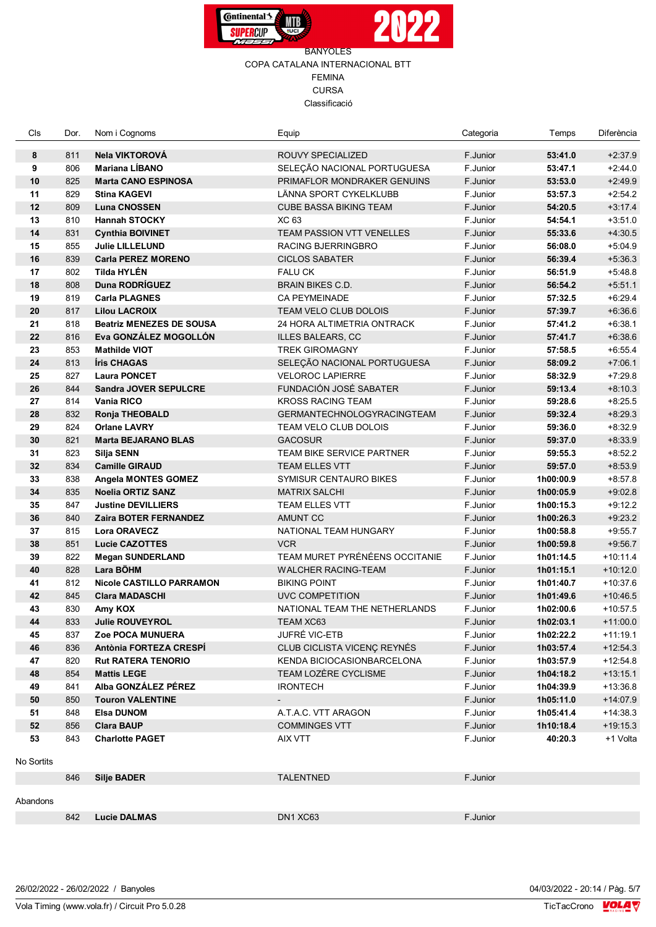



| Cls        | Dor. | Nom i Cognoms                        | Equip                             | Categoria | Temps     | Diferència |
|------------|------|--------------------------------------|-----------------------------------|-----------|-----------|------------|
| 8          | 811  | Nela VIKTOROVÁ                       | ROUVY SPECIALIZED                 | F.Junior  | 53:41.0   | $+2:37.9$  |
| 9          | 806  | <b>Mariana LÍBANO</b>                | SELEÇÃO NACIONAL PORTUGUESA       | F.Junior  | 53:47.1   | $+2.44.0$  |
| 10         | 825  | <b>Marta CANO ESPINOSA</b>           | PRIMAFLOR MONDRAKER GENUINS       | F.Junior  | 53:53.0   | $+2:49.9$  |
| 11         | 829  | <b>Stina KAGEVI</b>                  | LÄNNA SPORT CYKELKLUBB            | F.Junior  | 53:57.3   | $+2:54.2$  |
| 12         | 809  | <b>Luna CNOSSEN</b>                  | <b>CUBE BASSA BIKING TEAM</b>     | F.Junior  | 54:20.5   | $+3.17.4$  |
| 13         | 810  | <b>Hannah STOCKY</b>                 | XC 63                             | F.Junior  | 54:54.1   | $+3:51.0$  |
| 14         | 831  | <b>Cynthia BOIVINET</b>              | <b>TEAM PASSION VTT VENELLES</b>  | F.Junior  | 55:33.6   | $+4:30.5$  |
| 15         | 855  | <b>Julie LILLELUND</b>               | RACING BJERRINGBRO                | F.Junior  | 56:08.0   | $+5.04.9$  |
| 16         | 839  | <b>Carla PEREZ MORENO</b>            | <b>CICLOS SABATER</b>             | F.Junior  | 56:39.4   | $+5:36.3$  |
| 17         | 802  | <b>Tilda HYLÉN</b>                   | <b>FALU CK</b>                    | F.Junior  | 56:51.9   | $+5.48.8$  |
| 18         | 808  | Duna RODRÍGUEZ                       | <b>BRAIN BIKES C.D.</b>           | F.Junior  | 56:54.2   | $+5:51.1$  |
| 19         | 819  | <b>Carla PLAGNES</b>                 | <b>CA PEYMEINADE</b>              | F.Junior  | 57:32.5   | $+6:29.4$  |
| 20         | 817  | <b>Lilou LACROIX</b>                 | <b>TEAM VELO CLUB DOLOIS</b>      | F.Junior  | 57:39.7   | $+6.36.6$  |
| 21         | 818  | <b>Beatriz MENEZES DE SOUSA</b>      | 24 HORA ALTIMETRIA ONTRACK        | F.Junior  | 57:41.2   | $+6:38.1$  |
| 22         | 816  | Eva GONZÁLEZ MOGOLLÓN                | ILLES BALEARS, CC                 | F.Junior  | 57:41.7   | $+6:38.6$  |
| 23         | 853  | <b>Mathilde VIOT</b>                 | <b>TREK GIROMAGNY</b>             | F.Junior  | 57:58.5   | $+6:55.4$  |
| 24         | 813  | Íris CHAGAS                          | SELEÇÃO NACIONAL PORTUGUESA       | F.Junior  | 58:09.2   | $+7:06.1$  |
| 25         | 827  | <b>Laura PONCET</b>                  | <b>VELOROC LAPIERRE</b>           | F.Junior  | 58:32.9   | $+7:29.8$  |
| 26         | 844  | <b>Sandra JOVER SEPULCRE</b>         | FUNDACIÓN JOSÉ SABATER            | F.Junior  | 59:13.4   | $+8:10.3$  |
| 27         | 814  | <b>Vania RICO</b>                    | <b>KROSS RACING TEAM</b>          | F.Junior  | 59:28.6   | $+8.25.5$  |
| 28         | 832  | <b>Ronja THEOBALD</b>                | <b>GERMANTECHNOLOGYRACINGTEAM</b> | F.Junior  | 59:32.4   | $+8:29.3$  |
| 29         | 824  | <b>Orlane LAVRY</b>                  | TEAM VELO CLUB DOLOIS             | F.Junior  | 59:36.0   | $+8:32.9$  |
| 30         | 821  | <b>Marta BEJARANO BLAS</b>           | <b>GACOSUR</b>                    | F.Junior  | 59:37.0   | $+8:33.9$  |
| 31         | 823  | Silja SENN                           | <b>TEAM BIKE SERVICE PARTNER</b>  | F.Junior  | 59:55.3   | $+8.52.2$  |
| 32         | 834  | <b>Camille GIRAUD</b>                | <b>TEAM ELLES VTT</b>             | F.Junior  | 59:57.0   | $+8:53.9$  |
| 33         | 838  | <b>Angela MONTES GOMEZ</b>           | <b>SYMISUR CENTAURO BIKES</b>     | F.Junior  | 1h00:00.9 | $+8.57.8$  |
| 34         | 835  | <b>Noelia ORTIZ SANZ</b>             | <b>MATRIX SALCHI</b>              | F.Junior  | 1h00:05.9 | $+9:02.8$  |
| 35         | 847  | <b>Justine DEVILLIERS</b>            | <b>TEAM ELLES VTT</b>             | F.Junior  | 1h00:15.3 | $+9:12.2$  |
| 36         | 840  | <b>Zaira BOTER FERNANDEZ</b>         | AMUNT CC                          | F.Junior  | 1h00:26.3 | $+9:23.2$  |
| 37         | 815  | <b>Lora ORAVECZ</b>                  | NATIONAL TEAM HUNGARY             | F.Junior  | 1h00:58.8 | $+9:55.7$  |
| 38         | 851  | <b>Lucie CAZOTTES</b>                | <b>VCR</b>                        | F.Junior  | 1h00:59.8 | $+9.56.7$  |
| 39         | 822  |                                      | TEAM MURET PYRÉNÉENS OCCITANIE    | F.Junior  | 1h01:14.5 | $+10:11.4$ |
|            |      | <b>Megan SUNDERLAND</b><br>Lara BÖHM |                                   |           |           |            |
| 40         | 828  |                                      | <b>WALCHER RACING-TEAM</b>        | F.Junior  | 1h01:15.1 | $+10:12.0$ |
| 41         | 812  | <b>Nicole CASTILLO PARRAMON</b>      | <b>BIKING POINT</b>               | F.Junior  | 1h01:40.7 | $+10:37.6$ |
| 42         | 845  | <b>Clara MADASCHI</b>                | UVC COMPETITION                   | F.Junior  | 1h01:49.6 | $+10:46.5$ |
| 43         | 830  | Amy KOX                              | NATIONAL TEAM THE NETHERLANDS     | F.Junior  | 1h02:00.6 | $+10:57.5$ |
| 44         | 833  | Julie ROUVEYROL                      | TEAM XC63                         | F.Junior  | 1h02:03.1 | $+11:00.0$ |
| 45         | 837  | Zoe POCA MUNUERA                     | JUFRÉ VIC-ETB                     | F.Junior  | 1h02:22.2 | $+11:19.1$ |
| 46         | 836  | Antònia FORTEZA CRESPI               | CLUB CICLISTA VICENC REYNÉS       | F.Junior  | 1h03:57.4 | $+12:54.3$ |
| 47         | 820  | <b>Rut RATERA TENORIO</b>            | KENDA BICIOCASIONBARCELONA        | F.Junior  | 1h03:57.9 | $+12:54.8$ |
| 48         | 854  | <b>Mattis LEGE</b>                   | TEAM LOZERE CYCLISME              | F.Junior  | 1h04:18.2 | $+13:15.1$ |
| 49         | 841  | Alba GONZÁLEZ PÉREZ                  | <b>IRONTECH</b>                   | F.Junior  | 1h04:39.9 | $+13:36.8$ |
| 50         | 850  | <b>Touron VALENTINE</b>              |                                   | F.Junior  | 1h05:11.0 | $+14.07.9$ |
| 51         | 848  | <b>Elsa DUNOM</b>                    | A.T.A.C. VTT ARAGON               | F.Junior  | 1h05:41.4 | $+14:38.3$ |
| 52         | 856  | <b>Clara BAUP</b>                    | <b>COMMINGES VTT</b>              | F.Junior  | 1h10:18.4 | $+19:15.3$ |
| 53         | 843  | <b>Charlotte PAGET</b>               | AIX VTT                           | F.Junior  | 40:20.3   | +1 Volta   |
| No Sortits |      |                                      |                                   |           |           |            |
|            | 846  | <b>Silje BADER</b>                   | <b>TALENTNED</b>                  | F.Junior  |           |            |
| Abandons   |      |                                      |                                   |           |           |            |
|            | 842  | Lucie DALMAS                         | DN1 XC63                          | F.Junior  |           |            |
|            |      |                                      |                                   |           |           |            |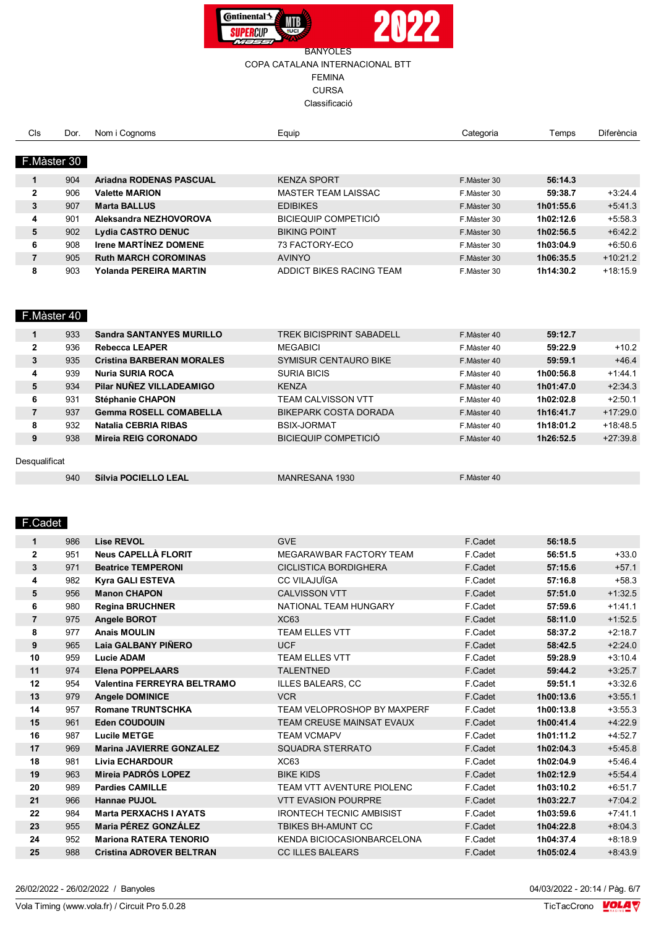



# CURSA

Classificació

| Cls            | Dor.        | Nom i Cognoms                | Equip                      | Categoria   | Temps     | Diferència |
|----------------|-------------|------------------------------|----------------------------|-------------|-----------|------------|
|                |             |                              |                            |             |           |            |
|                | F.Màster 30 |                              |                            |             |           |            |
|                |             |                              |                            |             |           |            |
| 1              | 904         | Ariadna RODENAS PASCUAL      | <b>KENZA SPORT</b>         | F.Màster 30 | 56:14.3   |            |
| $\mathbf{2}$   | 906         | <b>Valette MARION</b>        | <b>MASTER TEAM LAISSAC</b> | F.Màster 30 | 59:38.7   | $+3:24.4$  |
| 3              | 907         | <b>Marta BALLUS</b>          | <b>EDIBIKES</b>            | F.Màster 30 | 1h01:55.6 | $+5:41.3$  |
| 4              | 901         | Aleksandra NEZHOVOROVA       | BICIEQUIP COMPETICIÓ       | F.Màster 30 | 1h02:12.6 | $+5:58.3$  |
| 5              | 902         | <b>Lydia CASTRO DENUC</b>    | <b>BIKING POINT</b>        | F.Màster 30 | 1h02:56.5 | $+6:42.2$  |
| 6              | 908         | <b>Irene MARTINEZ DOMENE</b> | 73 FACTORY-ECO             | F.Màster 30 | 1h03:04.9 | $+6:50.6$  |
| $\overline{7}$ | 905         | <b>Ruth MARCH COROMINAS</b>  | <b>AVINYO</b>              | F.Màster 30 | 1h06:35.5 | $+10:21.2$ |
| 8              | 903         | Yolanda PEREIRA MARTIN       | ADDICT BIKES RACING TEAM   | F.Màster 30 | 1h14:30.2 | $+18:15.9$ |

## F.Màster 40

|               | 933 | <b>Sandra SANTANYES MURILLO</b>  | <b>TREK BICISPRINT SABADELL</b> | F.Màster 40 | 59:12.7   |            |
|---------------|-----|----------------------------------|---------------------------------|-------------|-----------|------------|
| $\mathbf{2}$  | 936 | <b>Rebecca LEAPER</b>            | <b>MEGABICI</b>                 | F.Màster 40 | 59:22.9   | $+10.2$    |
| 3             | 935 | <b>Cristina BARBERAN MORALES</b> | <b>SYMISUR CENTAURO BIKE</b>    | F.Màster 40 | 59:59.1   | $+46.4$    |
| 4             | 939 | <b>Nuria SURIA ROCA</b>          | <b>SURIA BICIS</b>              | F.Màster 40 | 1h00:56.8 | $+1.44.1$  |
| 5             | 934 | Pilar NUÑEZ VILLADEAMIGO         | <b>KENZA</b>                    | F.Màster 40 | 1h01:47.0 | $+2:34.3$  |
| 6             | 931 | Stéphanie CHAPON                 | <b>TEAM CALVISSON VTT</b>       | F.Màster 40 | 1h02:02.8 | $+2:50.1$  |
| 7             | 937 | <b>Gemma ROSELL COMABELLA</b>    | BIKEPARK COSTA DORADA           | F.Màster 40 | 1h16:41.7 | $+17:29.0$ |
| 8             | 932 | <b>Natalia CEBRIA RIBAS</b>      | BSIX-JORMAT                     | F.Màster 40 | 1h18:01.2 | $+18.48.5$ |
| 9             | 938 | Mireia REIG CORONADO             | BICIEQUIP COMPETICIÓ            | F.Màster 40 | 1h26:52.5 | $+27:39.8$ |
|               |     |                                  |                                 |             |           |            |
| Desqualificat |     |                                  |                                 |             |           |            |
|               | 940 | Sílvia POCIELLO LEAL             | MANRESANA 1930                  | F.Màster 40 |           |            |

### F.Cadet

| $\mathbf{1}$   | 986 | <b>Lise REVOL</b>                  | <b>GVE</b>                        | F.Cadet | 56:18.5   |           |
|----------------|-----|------------------------------------|-----------------------------------|---------|-----------|-----------|
| $\overline{2}$ | 951 | <b>Neus CAPELLÀ FLORIT</b>         | MEGARAWBAR FACTORY TEAM           | F.Cadet | 56:51.5   | $+33.0$   |
| 3              | 971 | <b>Beatrice TEMPERONI</b>          | <b>CICLISTICA BORDIGHERA</b>      | F.Cadet | 57:15.6   | $+57.1$   |
| 4              | 982 | <b>Kyra GALI ESTEVA</b>            | <b>CC VILAJUÏGA</b>               | F.Cadet | 57:16.8   | $+58.3$   |
| 5              | 956 | <b>Manon CHAPON</b>                | <b>CALVISSON VTT</b>              | F.Cadet | 57:51.0   | $+1:32.5$ |
| 6              | 980 | <b>Regina BRUCHNER</b>             | NATIONAL TEAM HUNGARY             | F.Cadet | 57:59.6   | $+1:41.1$ |
| $\overline{7}$ | 975 | <b>Angele BOROT</b>                | <b>XC63</b>                       | F.Cadet | 58:11.0   | $+1:52.5$ |
| 8              | 977 | <b>Anais MOULIN</b>                | <b>TEAM ELLES VTT</b>             | F.Cadet | 58:37.2   | $+2:18.7$ |
| 9              | 965 | Laia GALBANY PIÑERO                | <b>UCF</b>                        | F.Cadet | 58:42.5   | $+2:24.0$ |
| 10             | 959 | <b>Lucie ADAM</b>                  | <b>TEAM ELLES VTT</b>             | F.Cadet | 59:28.9   | $+3:10.4$ |
| 11             | 974 | <b>Elena POPPELAARS</b>            | <b>TALENTNED</b>                  | F.Cadet | 59:44.2   | $+3:25.7$ |
| 12             | 954 | <b>Valentina FERREYRA BELTRAMO</b> | <b>ILLES BALEARS, CC</b>          | F.Cadet | 59:51.1   | $+3:32.6$ |
| 13             | 979 | <b>Angele DOMINICE</b>             | <b>VCR</b>                        | F.Cadet | 1h00:13.6 | $+3:55.1$ |
| 14             | 957 | <b>Romane TRUNTSCHKA</b>           | TEAM VELOPROSHOP BY MAXPERF       | F.Cadet | 1h00:13.8 | $+3:55.3$ |
| 15             | 961 | <b>Eden COUDOUIN</b>               | <b>TEAM CREUSE MAINSAT EVAUX</b>  | F.Cadet | 1h00:41.4 | $+4:22.9$ |
| 16             | 987 | <b>Lucile METGE</b>                | <b>TEAM VCMAPV</b>                | F.Cadet | 1h01:11.2 | $+4:52.7$ |
| 17             | 969 | <b>Marina JAVIERRE GONZALEZ</b>    | SQUADRA STERRATO                  | F.Cadet | 1h02:04.3 | $+5:45.8$ |
| 18             | 981 | <b>Livia ECHARDOUR</b>             | XC63                              | F.Cadet | 1h02:04.9 | $+5:46.4$ |
| 19             | 963 | Mireia PADRÓS LOPEZ                | <b>BIKE KIDS</b>                  | F.Cadet | 1h02:12.9 | $+5:54.4$ |
| 20             | 989 | <b>Pardies CAMILLE</b>             | TEAM VTT AVENTURE PIOLENC         | F.Cadet | 1h03:10.2 | $+6:51.7$ |
| 21             | 966 | <b>Hannae PUJOL</b>                | <b>VTT EVASION POURPRE</b>        | F.Cadet | 1h03:22.7 | $+7:04.2$ |
| 22             | 984 | <b>Marta PERXACHS I AYATS</b>      | <b>IRONTECH TECNIC AMBISIST</b>   | F.Cadet | 1h03:59.6 | $+7:41.1$ |
| 23             | 955 | <b>Maria PÉREZ GONZÁLEZ</b>        | <b>TBIKES BH-AMUNT CC</b>         | F.Cadet | 1h04:22.8 | $+8:04.3$ |
| 24             | 952 | <b>Mariona RATERA TENORIO</b>      | <b>KENDA BICIOCASIONBARCELONA</b> | F.Cadet | 1h04:37.4 | $+8:18.9$ |
| 25             | 988 | <b>Cristina ADROVER BELTRAN</b>    | <b>CC ILLES BALEARS</b>           | F.Cadet | 1h05:02.4 | $+8:43.9$ |
|                |     |                                    |                                   |         |           |           |